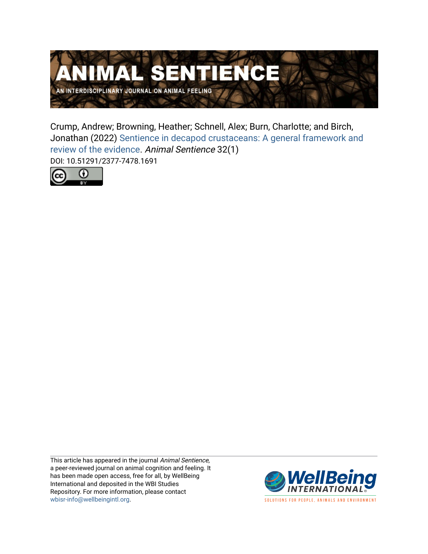

Crump, Andrew; Browning, Heather; Schnell, Alex; Burn, Charlotte; and Birch, Jonathan (2022) [Sentience in decapod crustaceans: A general framework and](https://www.wellbeingintlstudiesrepository.org/animsent/vol7/iss32/1)  [review of the evidence](https://www.wellbeingintlstudiesrepository.org/animsent/vol7/iss32/1). Animal Sentience 32(1) DOI: 10.51291/2377-7478.1691



This article has appeared in the journal Animal Sentience, a peer-reviewed journal on animal cognition and feeling. It has been made open access, free for all, by WellBeing International and deposited in the WBI Studies Repository. For more information, please contact [wbisr-info@wellbeingintl.org](mailto:wbisr-info@wellbeingintl.org).



SOLUTIONS FOR PEOPLE, ANIMALS AND ENVIRONMENT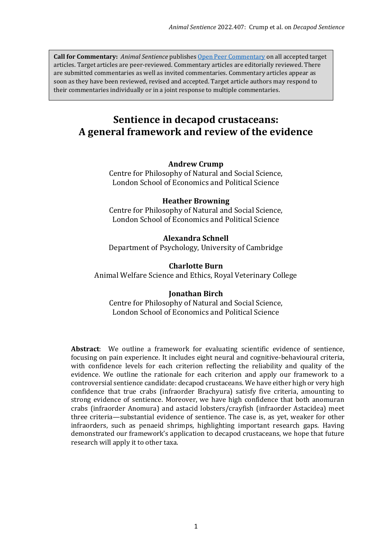**Call for Commentary:** *Animal Sentience* publishes [Open Peer Commentary](http://users.ecs.soton.ac.uk/harnad/Temp/Kata/bbs.editorial.html) on all accepted target articles. Target articles are peer-reviewed. Commentary articles are editorially reviewed. There are submitted commentaries as well as invited commentaries. Commentary articles appear as soon as they have been reviewed, revised and accepted. Target article authors may respond to their commentaries individually or in a joint response to multiple commentaries.

# **[Sentience in decapod crustaceans](http://animalstudiesrepository.org/animsent/guidelines.html): A general framework and review of the evidence**

### **Andrew Crump**

Centre for Philosophy of Natural and Social Science, London School of Economics and Political Science

### **Heather Browning**

Centre for Philosophy of Natural and Social Science, London School of Economics and Political Science

### **Alexandra Schnell**

Department of Psychology, University of Cambridge

### **Charlotte Burn**

Animal Welfare Science and Ethics, Royal Veterinary College

### **Jonathan Birch**

Centre for Philosophy of Natural and Social Science, London School of Economics and Political Science

**Abstract**: We outline a framework for evaluating scientific evidence of sentience, focusing on pain experience. It includes eight neural and cognitive-behavioural criteria, with confidence levels for each criterion reflecting the reliability and quality of the evidence. We outline the rationale for each criterion and apply our framework to a controversial sentience candidate: decapod crustaceans. We have either high or very high confidence that true crabs (infraorder Brachyura) satisfy five criteria, amounting to strong evidence of sentience. Moreover, we have high confidence that both anomuran crabs (infraorder Anomura) and astacid lobsters/crayfish (infraorder Astacidea) meet three criteria—substantial evidence of sentience. The case is, as yet, weaker for other infraorders, such as penaeid shrimps, highlighting important research gaps. Having demonstrated our framework's application to decapod crustaceans, we hope that future research will apply it to other taxa.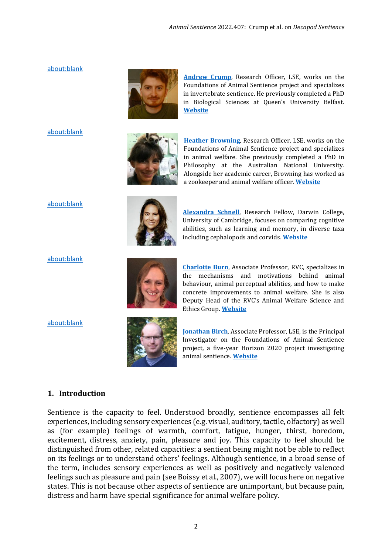#### <about:blank>



**[Andrew Crump](mailto:Andrew%20Crump%20%3candrewcrump94@gmail.com%3e)**, Research Officer, LSE, works on the Foundations of Animal Sentience project and specializes in invertebrate sentience. He previously completed a PhD in Biological Sciences at Queen's University Belfast. **[Website](https://www.lse.ac.uk/cpnss/research/ASENT)**

#### <about:blank>



**[Heather Browning](mailto:Heather%20Browning%20%3cdrheatherbrowning@gmail.com%3e)**, Research Officer, LSE, works on the Foundations of Animal Sentience project and specializes in animal welfare. She previously completed a PhD in Philosophy at the Australian National University. Alongside her academic career, Browning has worked as a zookeeper and animal welfare officer. **[Website](https://www.heatherbrowning.net/)**

#### <about:blank>



**[Alexandra Schnell](mailto:Alex%20Schnell%20%3calex.k.schnell@gmail.com%3e)**, Research Fellow, Darwin College, University of Cambridge, focuses on comparing cognitive abilities, such as learning and memory, in diverse taxa including cephalopods and corvids. **[Website](https://www.alexschnell.net/)**

<about:blank>

<about:blank>



**[Charlotte Burn](mailto:Charlotte%20Burn%20%3ccburn@rvc.ac.uk%3e)**, Associate Professor, RVC, specializes in the mechanisms and motivations behind animal behaviour, animal perceptual abilities, and how to make concrete improvements to animal welfare. She is also Deputy Head of the RVC's Animal Welfare Science and Ethics Group. **[Website](https://www.rvc.ac.uk/about/our-people/charlotte-burn)**



**[Jonathan Birch](mailto:Jonathan%20Birch%20%3cj.birch2@lse.ac.uk%3e)**, Associate Professor, LSE, is the Principal Investigator on the Foundations of Animal Sentience project, a five-year Horizon 2020 project investigating animal sentience. **[Website](https://www.lse.ac.uk/cpnss/research/ASENT)**

#### **1. Introduction**

Sentience is the capacity to feel. Understood broadly, sentience encompasses all felt experiences, including sensory experiences (e.g. visual, auditory, tactile, olfactory) as well as (for example) feelings of warmth, comfort, fatigue, hunger, thirst, boredom, excitement, distress, anxiety, pain, pleasure and joy. This capacity to feel should be distinguished from other, related capacities: a sentient being might not be able to reflect on its feelings or to understand others' feelings. Although sentience, in a broad sense of the term, includes sensory experiences as well as positively and negatively valenced feelings such as pleasure and pain (see Boissy et al., 2007), we will focus here on negative states. This is not because other aspects of sentience are unimportant, but because pain, distress and harm have special significance for animal welfare policy.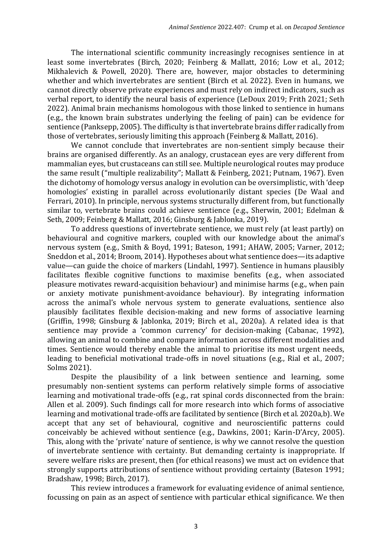The international scientific community increasingly recognises sentience in at least some invertebrates (Birch, 2020; Feinberg & Mallatt, 2016; Low et al., 2012; Mikhalevich & Powell, 2020). There are, however, major obstacles to determining whether and which invertebrates are sentient (Birch et al. 2022). Even in humans, we cannot directly observe private experiences and must rely on indirect indicators, such as verbal report, to identify the neural basis of experience (LeDoux 2019; Frith 2021; Seth 2022). Animal brain mechanisms homologous with those linked to sentience in humans (e.g., the known brain substrates underlying the feeling of pain) can be evidence for sentience (Panksepp, 2005). The difficulty is that invertebrate brains differ radically from those of vertebrates, seriously limiting this approach (Feinberg & Mallatt, 2016).

We cannot conclude that invertebrates are non-sentient simply because their brains are organised differently. As an analogy, crustacean eyes are very different from mammalian eyes, but crustaceans can still see. Multiple neurological routes may produce the same result ("multiple realizability"; Mallatt & Feinberg, 2021; Putnam, 1967). Even the dichotomy of homology versus analogy in evolution can be oversimplistic, with 'deep homologies' existing in parallel across evolutionarily distant species (De Waal and Ferrari, 2010). In principle, nervous systems structurally different from, but functionally similar to, vertebrate brains could achieve sentience (e.g., Sherwin, 2001; Edelman & Seth, 2009; Feinberg & Mallatt, 2016; Ginsburg & Jablonka, 2019).

To address questions of invertebrate sentience, we must rely (at least partly) on behavioural and cognitive markers, coupled with our knowledge about the animal's nervous system (e.g., Smith & Boyd, 1991; Bateson, 1991; AHAW, 2005; Varner, 2012; Sneddon et al., 2014; Broom, 2014). Hypotheses about what sentience does—its adaptive value—can guide the choice of markers (Lindahl, 1997). Sentience in humans plausibly facilitates flexible cognitive functions to maximise benefits (e.g., when associated pleasure motivates reward-acquisition behaviour) and minimise harms (e.g., when pain or anxiety motivate punishment-avoidance behaviour). By integrating information across the animal's whole nervous system to generate evaluations, sentience also plausibly facilitates flexible decision-making and new forms of associative learning (Griffin, 1998; Ginsburg & Jablonka, 2019; Birch et al., 2020a). A related idea is that sentience may provide a 'common currency' for decision-making (Cabanac, 1992), allowing an animal to combine and compare information across different modalities and times. Sentience would thereby enable the animal to prioritise its most urgent needs, leading to beneficial motivational trade-offs in novel situations (e.g., Rial et al., 2007; Solms 2021).

Despite the plausibility of a link between sentience and learning, some presumably non-sentient systems can perform relatively simple forms of associative learning and motivational trade-offs (e.g., rat spinal cords disconnected from the brain: Allen et al. 2009). Such findings call for more research into which forms of associative learning and motivational trade-offs are facilitated by sentience (Birch et al. 2020a,b). We accept that any set of behavioural, cognitive and neuroscientific patterns could conceivably be achieved without sentience (e.g., Dawkins, 2001; Karin-D'Arcy, 2005). This, along with the 'private' nature of sentience, is why we cannot resolve the question of invertebrate sentience with certainty. But demanding certainty is inappropriate. If severe welfare risks are present, then (for ethical reasons) we must act on evidence that strongly supports attributions of sentience without providing certainty (Bateson 1991; Bradshaw, 1998; Birch, 2017).

This review introduces a framework for evaluating evidence of animal sentience, focussing on pain as an aspect of sentience with particular ethical significance. We then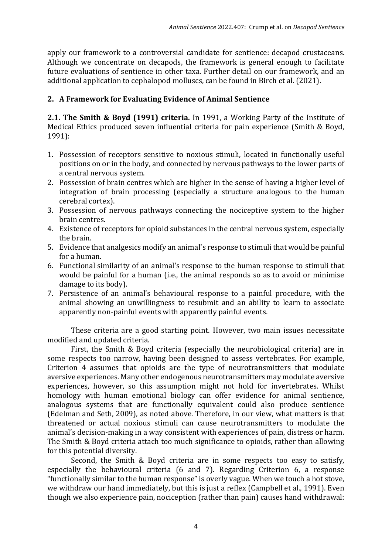apply our framework to a controversial candidate for sentience: decapod crustaceans. Although we concentrate on decapods, the framework is general enough to facilitate future evaluations of sentience in other taxa. Further detail on our framework, and an additional application to cephalopod molluscs, can be found in Birch et al. (2021).

# **2. A Framework for Evaluating Evidence of Animal Sentience**

**2.1. The Smith & Boyd (1991) criteria***.* In 1991, a Working Party of the Institute of Medical Ethics produced seven influential criteria for pain experience (Smith & Boyd, 1991):

- 1. Possession of receptors sensitive to noxious stimuli, located in functionally useful positions on or in the body, and connected by nervous pathways to the lower parts of a central nervous system.
- 2. Possession of brain centres which are higher in the sense of having a higher level of integration of brain processing (especially a structure analogous to the human cerebral cortex).
- 3. Possession of nervous pathways connecting the nociceptive system to the higher brain centres.
- 4. Existence of receptors for opioid substances in the central nervous system, especially the brain.
- 5. Evidence that analgesics modify an animal's response to stimuli that would be painful for a human.
- 6. Functional similarity of an animal's response to the human response to stimuli that would be painful for a human (i.e., the animal responds so as to avoid or minimise damage to its body).
- 7. Persistence of an animal's behavioural response to a painful procedure, with the animal showing an unwillingness to resubmit and an ability to learn to associate apparently non-painful events with apparently painful events.

These criteria are a good starting point. However, two main issues necessitate modified and updated criteria.

First, the Smith & Boyd criteria (especially the neurobiological criteria) are in some respects too narrow, having been designed to assess vertebrates. For example, Criterion 4 assumes that opioids are the type of neurotransmitters that modulate aversive experiences. Many other endogenous neurotransmitters may modulate aversive experiences, however, so this assumption might not hold for invertebrates. Whilst homology with human emotional biology can offer evidence for animal sentience, analogous systems that are functionally equivalent could also produce sentience (Edelman and Seth, 2009), as noted above. Therefore, in our view, what matters is that threatened or actual noxious stimuli can cause neurotransmitters to modulate the animal's decision-making in a way consistent with experiences of pain, distress or harm. The Smith & Boyd criteria attach too much significance to opioids, rather than allowing for this potential diversity.

Second, the Smith & Boyd criteria are in some respects too easy to satisfy, especially the behavioural criteria (6 and 7). Regarding Criterion 6, a response "functionally similar to the human response" is overly vague. When we touch a hot stove, we withdraw our hand immediately, but this is just a reflex (Campbell et al., 1991). Even though we also experience pain, nociception (rather than pain) causes hand withdrawal: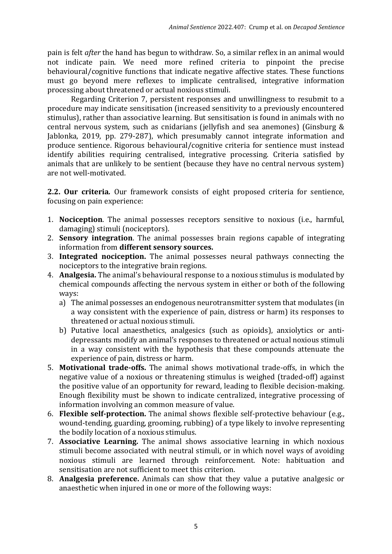pain is felt *after* the hand has begun to withdraw. So, a similar reflex in an animal would not indicate pain. We need more refined criteria to pinpoint the precise behavioural/cognitive functions that indicate negative affective states. These functions must go beyond mere reflexes to implicate centralised, integrative information processing about threatened or actual noxious stimuli.

Regarding Criterion 7, persistent responses and unwillingness to resubmit to a procedure may indicate sensitisation (increased sensitivity to a previously encountered stimulus), rather than associative learning. But sensitisation is found in animals with no central nervous system, such as cnidarians (jellyfish and sea anemones) (Ginsburg & Jablonka, 2019, pp. 279-287), which presumably cannot integrate information and produce sentience. Rigorous behavioural/cognitive criteria for sentience must instead identify abilities requiring centralised, integrative processing. Criteria satisfied by animals that are unlikely to be sentient (because they have no central nervous system) are not well-motivated.

**2.2. Our criteria***.* Our framework consists of eight proposed criteria for sentience, focusing on pain experience:

- 1. **Nociception**. The animal possesses receptors sensitive to noxious (i.e., harmful, damaging) stimuli (nociceptors).
- 2. **Sensory integration**. The animal possesses brain regions capable of integrating information from **different sensory sources.**
- 3. **Integrated nociception.** The animal possesses neural pathways connecting the nociceptors to the integrative brain regions.
- 4. **Analgesia.** The animal's behavioural response to a noxious stimulus is modulated by chemical compounds affecting the nervous system in either or both of the following ways:
	- a) The animal possesses an endogenous neurotransmitter system that modulates (in a way consistent with the experience of pain, distress or harm) its responses to threatened or actual noxious stimuli.
	- b) Putative local anaesthetics, analgesics (such as opioids), anxiolytics or antidepressants modify an animal's responses to threatened or actual noxious stimuli in a way consistent with the hypothesis that these compounds attenuate the experience of pain, distress or harm.
- 5. **Motivational trade-offs.** The animal shows motivational trade-offs, in which the negative value of a noxious or threatening stimulus is weighed (traded-off) against the positive value of an opportunity for reward, leading to flexible decision-making. Enough flexibility must be shown to indicate centralized, integrative processing of information involving an common measure of value.
- 6. **Flexible self-protection.** The animal shows flexible self-protective behaviour (e.g., wound-tending, guarding, grooming, rubbing) of a type likely to involve representing the bodily location of a noxious stimulus.
- 7. **Associative Learning.** The animal shows associative learning in which noxious stimuli become associated with neutral stimuli, or in which novel ways of avoiding noxious stimuli are learned through reinforcement. Note: habituation and sensitisation are not sufficient to meet this criterion.
- 8. **Analgesia preference.** Animals can show that they value a putative analgesic or anaesthetic when injured in one or more of the following ways: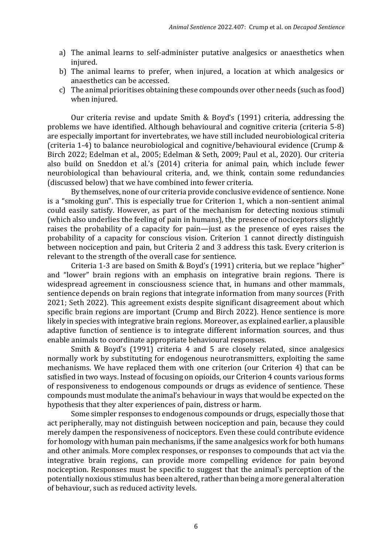- a) The animal learns to self-administer putative analgesics or anaesthetics when injured.
- b) The animal learns to prefer, when injured, a location at which analgesics or anaesthetics can be accessed.
- c) The animal prioritises obtaining these compounds over other needs (such as food) when injured.

Our criteria revise and update Smith & Boyd's (1991) criteria, addressing the problems we have identified. Although behavioural and cognitive criteria (criteria 5-8) are especially important for invertebrates, we have still included neurobiological criteria (criteria 1-4) to balance neurobiological and cognitive/behavioural evidence (Crump & Birch 2022; Edelman et al., 2005; Edelman & Seth, 2009; Paul et al., 2020). Our criteria also build on Sneddon et al.'s (2014) criteria for animal pain, which include fewer neurobiological than behavioural criteria, and, we think, contain some redundancies (discussed below) that we have combined into fewer criteria.

By themselves, none of our criteria provide conclusive evidence of sentience. None is a "smoking gun". This is especially true for Criterion 1, which a non-sentient animal could easily satisfy. However, as part of the mechanism for detecting noxious stimuli (which also underlies the feeling of pain in humans), the presence of nociceptors slightly raises the probability of a capacity for pain—just as the presence of eyes raises the probability of a capacity for conscious vision. Criterion 1 cannot directly distinguish between nociception and pain, but Criteria 2 and 3 address this task. Every criterion is relevant to the strength of the overall case for sentience.

Criteria 1-3 are based on Smith & Boyd's (1991) criteria, but we replace "higher" and "lower" brain regions with an emphasis on integrative brain regions. There is widespread agreement in consciousness science that, in humans and other mammals, sentience depends on brain regions that integrate information from many sources (Frith 2021; Seth 2022). This agreement exists despite significant disagreement about which specific brain regions are important (Crump and Birch 2022). Hence sentience is more likely in species with integrative brain regions. Moreover, as explained earlier, a plausible adaptive function of sentience is to integrate different information sources, and thus enable animals to coordinate appropriate behavioural responses.

Smith & Boyd's (1991) criteria 4 and 5 are closely related, since analgesics normally work by substituting for endogenous neurotransmitters, exploiting the same mechanisms. We have replaced them with one criterion (our Criterion 4) that can be satisfied in two ways. Instead of focusing on opioids, our Criterion 4 counts various forms of responsiveness to endogenous compounds or drugs as evidence of sentience. These compounds must modulate the animal's behaviour in ways that would be expected on the hypothesis that they alter experiences of pain, distress or harm.

Some simpler responses to endogenous compounds or drugs, especially those that act peripherally, may not distinguish between nociception and pain, because they could merely dampen the responsiveness of nociceptors. Even these could contribute evidence for homology with human pain mechanisms, if the same analgesics work for both humans and other animals. More complex responses, or responses to compounds that act via the integrative brain regions, can provide more compelling evidence for pain beyond nociception. Responses must be specific to suggest that the animal's perception of the potentially noxious stimulus has been altered, rather than being a more general alteration of behaviour, such as reduced activity levels.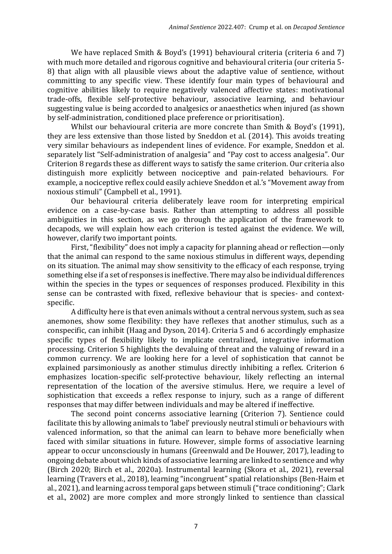We have replaced Smith & Boyd's (1991) behavioural criteria (criteria 6 and 7) with much more detailed and rigorous cognitive and behavioural criteria (our criteria 5- 8) that align with all plausible views about the adaptive value of sentience, without committing to any specific view. These identify four main types of behavioural and cognitive abilities likely to require negatively valenced affective states: motivational trade-offs, flexible self-protective behaviour, associative learning, and behaviour suggesting value is being accorded to analgesics or anaesthetics when injured (as shown by self-administration, conditioned place preference or prioritisation).

Whilst our behavioural criteria are more concrete than Smith & Boyd's (1991), they are less extensive than those listed by Sneddon et al. (2014). This avoids treating very similar behaviours as independent lines of evidence. For example, Sneddon et al. separately list "Self-administration of analgesia" and "Pay cost to access analgesia". Our Criterion 8 regards these as different ways to satisfy the same criterion. Our criteria also distinguish more explicitly between nociceptive and pain-related behaviours. For example, a nociceptive reflex could easily achieve Sneddon et al.'s "Movement away from noxious stimuli" (Campbell et al., 1991).

Our behavioural criteria deliberately leave room for interpreting empirical evidence on a case-by-case basis. Rather than attempting to address all possible ambiguities in this section, as we go through the application of the framework to decapods, we will explain how each criterion is tested against the evidence. We will, however, clarify two important points.

First, "flexibility" does not imply a capacity for planning ahead or reflection—only that the animal can respond to the same noxious stimulus in different ways, depending on its situation. The animal may show sensitivity to the efficacy of each response, trying something else if a set of responses is ineffective. There may also be individual differences within the species in the types or sequences of responses produced. Flexibility in this sense can be contrasted with fixed, reflexive behaviour that is species- and contextspecific.

A difficulty here is that even animals without a central nervous system, such as sea anemones, show some flexibility: they have reflexes that another stimulus, such as a conspecific, can inhibit (Haag and Dyson, 2014). Criteria 5 and 6 accordingly emphasize specific types of flexibility likely to implicate centralized, integrative information processing. Criterion 5 highlights the devaluing of threat and the valuing of reward in a common currency. We are looking here for a level of sophistication that cannot be explained parsimoniously as another stimulus directly inhibiting a reflex. Criterion 6 emphasizes location-specific self-protective behaviour, likely reflecting an internal representation of the location of the aversive stimulus. Here, we require a level of sophistication that exceeds a reflex response to injury, such as a range of different responses that may differ between individuals and may be altered if ineffective.

The second point concerns associative learning (Criterion 7). Sentience could facilitate this by allowing animals to 'label' previously neutral stimuli or behaviours with valenced information, so that the animal can learn to behave more beneficially when faced with similar situations in future. However, simple forms of associative learning appear to occur unconsciously in humans (Greenwald and De Houwer, 2017), leading to ongoing debate about which kinds of associative learning are linked to sentience and why (Birch 2020; Birch et al., 2020a). Instrumental learning (Skora et al., 2021), reversal learning (Travers et al., 2018), learning "incongruent" spatial relationships (Ben-Haim et al., 2021), and learning across temporal gaps between stimuli ("trace conditioning"; Clark et al., 2002) are more complex and more strongly linked to sentience than classical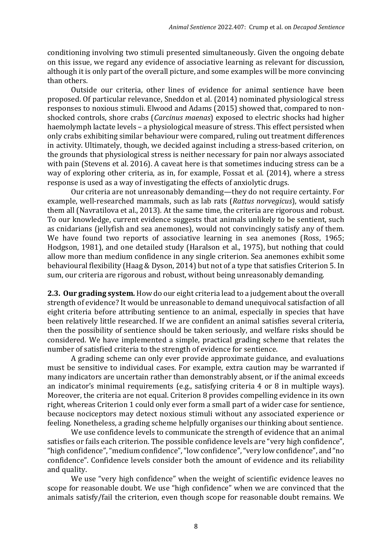conditioning involving two stimuli presented simultaneously. Given the ongoing debate on this issue, we regard any evidence of associative learning as relevant for discussion, although it is only part of the overall picture, and some examples will be more convincing than others.

Outside our criteria, other lines of evidence for animal sentience have been proposed. Of particular relevance, Sneddon et al. (2014) nominated physiological stress responses to noxious stimuli. Elwood and Adams (2015) showed that, compared to nonshocked controls, shore crabs (*Carcinus maenas*) exposed to electric shocks had higher haemolymph lactate levels – a physiological measure of stress. This effect persisted when only crabs exhibiting similar behaviour were compared, ruling out treatment differences in activity. Ultimately, though, we decided against including a stress-based criterion, on the grounds that physiological stress is neither necessary for pain nor always associated with pain (Stevens et al. 2016). A caveat here is that sometimes inducing stress can be a way of exploring other criteria, as in, for example, Fossat et al. (2014), where a stress response is used as a way of investigating the effects of anxiolytic drugs.

Our criteria are not unreasonably demanding—they do not require certainty. For example, well-researched mammals, such as lab rats (*Rattus norvegicus*), would satisfy them all (Navratilova et al., 2013). At the same time, the criteria are rigorous and robust. To our knowledge, current evidence suggests that animals unlikely to be sentient, such as cnidarians (jellyfish and sea anemones), would not convincingly satisfy any of them. We have found two reports of associative learning in sea anemones (Ross, 1965; Hodgson, 1981), and one detailed study (Haralson et al., 1975), but nothing that could allow more than medium confidence in any single criterion. Sea anemones exhibit some behavioural flexibility (Haag & Dyson, 2014) but not of a type that satisfies Criterion 5. In sum, our criteria are rigorous and robust, without being unreasonably demanding.

**2.3. Our grading system***.* How do our eight criteria lead to a judgement about the overall strength of evidence? It would be unreasonable to demand unequivocal satisfaction of all eight criteria before attributing sentience to an animal, especially in species that have been relatively little researched. If we are confident an animal satisfies several criteria, then the possibility of sentience should be taken seriously, and welfare risks should be considered. We have implemented a simple, practical grading scheme that relates the number of satisfied criteria to the strength of evidence for sentience.

A grading scheme can only ever provide approximate guidance, and evaluations must be sensitive to individual cases. For example, extra caution may be warranted if many indicators are uncertain rather than demonstrably absent, or if the animal exceeds an indicator's minimal requirements (e.g., satisfying criteria 4 or 8 in multiple ways). Moreover, the criteria are not equal. Criterion 8 provides compelling evidence in its own right, whereas Criterion 1 could only ever form a small part of a wider case for sentience, because nociceptors may detect noxious stimuli without any associated experience or feeling. Nonetheless, a grading scheme helpfully organises our thinking about sentience.

We use confidence levels to communicate the strength of evidence that an animal satisfies or fails each criterion. The possible confidence levels are "very high confidence", "high confidence", "medium confidence", "low confidence", "very low confidence", and "no confidence". Confidence levels consider both the amount of evidence and its reliability and quality.

We use "very high confidence" when the weight of scientific evidence leaves no scope for reasonable doubt. We use "high confidence" when we are convinced that the animals satisfy/fail the criterion, even though scope for reasonable doubt remains. We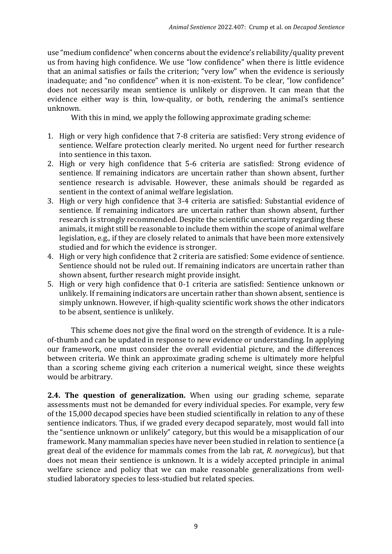use "medium confidence" when concerns about the evidence's reliability/quality prevent us from having high confidence. We use "low confidence" when there is little evidence that an animal satisfies or fails the criterion; "very low" when the evidence is seriously inadequate; and "no confidence" when it is non-existent. To be clear, "low confidence" does not necessarily mean sentience is unlikely or disproven. It can mean that the evidence either way is thin, low-quality, or both, rendering the animal's sentience unknown.

With this in mind, we apply the following approximate grading scheme:

- 1. High or very high confidence that 7-8 criteria are satisfied: Very strong evidence of sentience. Welfare protection clearly merited. No urgent need for further research into sentience in this taxon.
- 2. High or very high confidence that 5-6 criteria are satisfied: Strong evidence of sentience. If remaining indicators are uncertain rather than shown absent, further sentience research is advisable. However, these animals should be regarded as sentient in the context of animal welfare legislation.
- 3. High or very high confidence that 3-4 criteria are satisfied: Substantial evidence of sentience. If remaining indicators are uncertain rather than shown absent, further research is strongly recommended. Despite the scientific uncertainty regarding these animals, it might still be reasonable to include them within the scope of animal welfare legislation, e.g., if they are closely related to animals that have been more extensively studied and for which the evidence is stronger.
- 4. High or very high confidence that 2 criteria are satisfied: Some evidence of sentience. Sentience should not be ruled out. If remaining indicators are uncertain rather than shown absent, further research might provide insight.
- 5. High or very high confidence that 0-1 criteria are satisfied: Sentience unknown or unlikely. If remaining indicators are uncertain rather than shown absent, sentience is simply unknown. However, if high-quality scientific work shows the other indicators to be absent, sentience is unlikely.

This scheme does not give the final word on the strength of evidence. It is a ruleof-thumb and can be updated in response to new evidence or understanding. In applying our framework, one must consider the overall evidential picture, and the differences between criteria. We think an approximate grading scheme is ultimately more helpful than a scoring scheme giving each criterion a numerical weight, since these weights would be arbitrary.

**2.4. The question of generalization.** When using our grading scheme, separate assessments must not be demanded for every individual species. For example, very few of the 15,000 decapod species have been studied scientifically in relation to any of these sentience indicators. Thus, if we graded every decapod separately, most would fall into the "sentience unknown or unlikely" category, but this would be a misapplication of our framework. Many mammalian species have never been studied in relation to sentience (a great deal of the evidence for mammals comes from the lab rat, *R. norvegicus*), but that does not mean their sentience is unknown. It is a widely accepted principle in animal welfare science and policy that we can make reasonable generalizations from wellstudied laboratory species to less-studied but related species.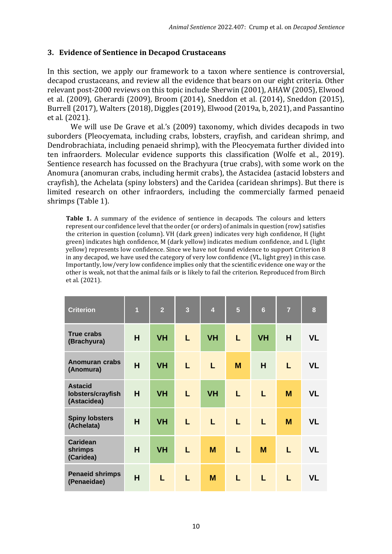# **3. Evidence of Sentience in Decapod Crustaceans**

In this section, we apply our framework to a taxon where sentience is controversial, decapod crustaceans, and review all the evidence that bears on our eight criteria. Other relevant post-2000 reviews on this topic include Sherwin (2001), AHAW (2005), Elwood et al. (2009), Gherardi (2009), Broom (2014), Sneddon et al. (2014), Sneddon (2015), Burrell (2017), Walters (2018), Diggles (2019), Elwood (2019a, b, 2021), and Passantino et al. (2021).

We will use De Grave et al.'s (2009) taxonomy, which divides decapods in two suborders (Pleocyemata, including crabs, lobsters, crayfish, and caridean shrimp, and Dendrobrachiata, including penaeid shrimp), with the Pleocyemata further divided into ten infraorders. Molecular evidence supports this classification (Wolfe et al., 2019). Sentience research has focussed on the Brachyura (true crabs), with some work on the Anomura (anomuran crabs, including hermit crabs), the Astacidea (astacid lobsters and crayfish), the Achelata (spiny lobsters) and the Caridea (caridean shrimps). But there is limited research on other infraorders, including the commercially farmed penaeid shrimps (Table 1).

**Table 1.** A summary of the evidence of sentience in decapods. The colours and letters represent our confidence level that the order (or orders) of animals in question (row) satisfies the criterion in question (column). VH (dark green) indicates very high confidence, H (light green) indicates high confidence, M (dark yellow) indicates medium confidence, and L (light yellow) represents low confidence. Since we have not found evidence to support Criterion 8 in any decapod, we have used the category of very low confidence (VL, light grey) in this case. Importantly, low/very low confidence implies only that the scientific evidence one way or the other is weak, not that the animal fails or is likely to fail the criterion. Reproduced from Birch et al. (2021).

| <b>Criterion</b>                                   | $\overline{1}$ | $\overline{2}$ | $\overline{3}$ | $\overline{\mathbf{4}}$ | 5 | $6\phantom{1}6$ | $\overline{7}$ | 8         |
|----------------------------------------------------|----------------|----------------|----------------|-------------------------|---|-----------------|----------------|-----------|
| <b>True crabs</b><br>(Brachyura)                   | H              | <b>VH</b>      | L              | <b>VH</b>               | L | <b>VH</b>       | H              | <b>VL</b> |
| <b>Anomuran crabs</b><br>(Anomura)                 | H              | <b>VH</b>      | L              | L                       | M | H               | L              | <b>VL</b> |
| <b>Astacid</b><br>lobsters/crayfish<br>(Astacidea) | H              | <b>VH</b>      | L              | <b>VH</b>               | L | L               | M              | <b>VL</b> |
| <b>Spiny lobsters</b><br>(Achelata)                | H              | <b>VH</b>      | L              | L                       | L | L.              | M              | <b>VL</b> |
| <b>Caridean</b><br>shrimps<br>(Caridea)            | H              | <b>VH</b>      | L              | M                       | L | M               | L              | <b>VL</b> |
| <b>Penaeid shrimps</b><br>(Penaeidae)              | H              | L.             | L              | M                       | L | L               | L              | VL        |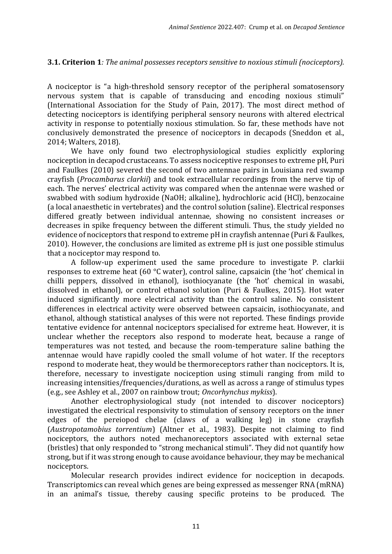# **3.1. Criterion 1***: The animal possesses receptors sensitive to noxious stimuli (nociceptors).*

A nociceptor is "a high-threshold sensory receptor of the peripheral somatosensory nervous system that is capable of transducing and encoding noxious stimuli" (International Association for the Study of Pain, 2017). The most direct method of detecting nociceptors is identifying peripheral sensory neurons with altered electrical activity in response to potentially noxious stimulation. So far, these methods have not conclusively demonstrated the presence of nociceptors in decapods (Sneddon et al., 2014; Walters, 2018).

We have only found two electrophysiological studies explicitly exploring nociception in decapod crustaceans. To assess nociceptive responses to extreme pH, Puri and Faulkes (2010) severed the second of two antennae pairs in Louisiana red swamp crayfish (*Procambarus clarkii*) and took extracellular recordings from the nerve tip of each. The nerves' electrical activity was compared when the antennae were washed or swabbed with sodium hydroxide (NaOH; alkaline), hydrochloric acid (HCl), benzocaine (a local anaesthetic in vertebrates) and the control solution (saline). Electrical responses differed greatly between individual antennae, showing no consistent increases or decreases in spike frequency between the different stimuli. Thus, the study yielded no evidence of nociceptors that respond to extreme pH in crayfish antennae (Puri & Faulkes, 2010). However, the conclusions are limited as extreme pH is just one possible stimulus that a nociceptor may respond to.

A follow-up experiment used the same procedure to investigate P. clarkii responses to extreme heat (60 °C water), control saline, capsaicin (the 'hot' chemical in chilli peppers, dissolved in ethanol), isothiocyanate (the 'hot' chemical in wasabi, dissolved in ethanol), or control ethanol solution (Puri & Faulkes, 2015). Hot water induced significantly more electrical activity than the control saline. No consistent differences in electrical activity were observed between capsaicin, isothiocyanate, and ethanol, although statistical analyses of this were not reported. These findings provide tentative evidence for antennal nociceptors specialised for extreme heat. However, it is unclear whether the receptors also respond to moderate heat, because a range of temperatures was not tested, and because the room-temperature saline bathing the antennae would have rapidly cooled the small volume of hot water. If the receptors respond to moderate heat, they would be thermoreceptors rather than nociceptors. It is, therefore, necessary to investigate nociception using stimuli ranging from mild to increasing intensities/frequencies/durations, as well as across a range of stimulus types (e.g., see Ashley et al., 2007 on rainbow trout; *Oncorhynchus mykiss*).

Another electrophysiological study (not intended to discover nociceptors) investigated the electrical responsivity to stimulation of sensory receptors on the inner edges of the pereiopod chelae (claws of a walking leg) in stone crayfish (*Austropotamobius torrentium*) (Altner et al., 1983). Despite not claiming to find nociceptors, the authors noted mechanoreceptors associated with external setae (bristles) that only responded to "strong mechanical stimuli". They did not quantify how strong, but if it was strong enough to cause avoidance behaviour, they may be mechanical nociceptors.

Molecular research provides indirect evidence for nociception in decapods. Transcriptomics can reveal which genes are being expressed as messenger RNA (mRNA) in an animal's tissue, thereby causing specific proteins to be produced. The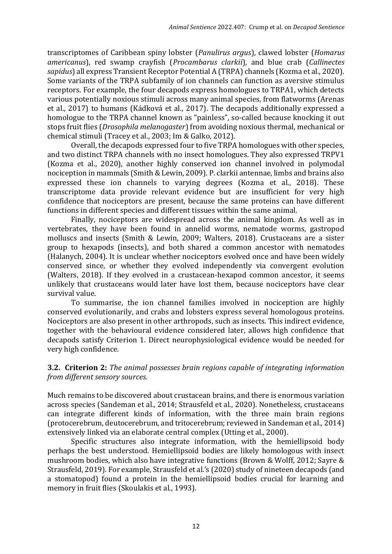transcriptomes of Caribbean spiny lobster (*Panulirus argus*), clawed lobster (*Homarus americanus*), red swamp crayfish (*Procambarus clarkii*), and blue crab (*Callinectes sapidus*) all express Transient Receptor Potential A (TRPA) channels (Kozma et al., 2020). Some variants of the TRPA subfamily of ion channels can function as aversive stimulus receptors. For example, the four decapods express homologues to TRPA1, which detects various potentially noxious stimuli across many animal species, from flatworms (Arenas et al., 2017) to humans (Kádková et al., 2017). The decapods additionally expressed a homologue to the TRPA channel known as "painless", so-called because knocking it out stops fruit flies (*Drosophila melanogaster*) from avoiding noxious thermal, mechanical or chemical stimuli (Tracey et al., 2003; Im & Galko, 2012).

Overall, the decapods expressed four to five TRPA homologues with other species, and two distinct TRPA channels with no insect homologues. They also expressed TRPV1 (Kozma et al., 2020), another highly conserved ion channel involved in polymodal nociception in mammals (Smith & Lewin, 2009). P. clarkii antennae, limbs and brains also expressed these ion channels to varying degrees (Kozma et al., 2018). These transcriptome data provide relevant evidence but are insufficient for very high confidence that nociceptors are present, because the same proteins can have different functions in different species and different tissues within the same animal.

Finally, nociceptors are widespread across the animal kingdom. As well as in vertebrates, they have been found in annelid worms, nematode worms, gastropod molluscs and insects (Smith & Lewin, 2009; Walters, 2018). Crustaceans are a sister group to hexapods (insects), and both shared a common ancestor with nematodes (Halanych, 2004). It is unclear whether nociceptors evolved once and have been widely conserved since, or whether they evolved independently via convergent evolution (Walters, 2018). If they evolved in a crustacean-hexapod common ancestor, it seems unlikely that crustaceans would later have lost them, because nociceptors have clear survival value.

To summarise, the ion channel families involved in nociception are highly conserved evolutionarily, and crabs and lobsters express several homologous proteins. Nociceptors are also present in other arthropods, such as insects. This indirect evidence, together with the behavioural evidence considered later, allows high confidence that decapods satisfy Criterion 1. Direct neurophysiological evidence would be needed for very high confidence.

# **3.2. Criterion 2:** *The animal possesses brain regions capable of integrating information from different sensory sources.*

Much remains to be discovered about crustacean brains, and there is enormous variation across species (Sandeman et al., 2014; Strausfeld et al., 2020). Nonetheless, crustaceans can integrate different kinds of information, with the three main brain regions (protocerebrum, deutocerebrum, and tritocerebrum; reviewed in Sandeman et al., 2014) extensively linked via an elaborate central complex (Utting et al., 2000).

Specific structures also integrate information, with the hemiellipsoid body perhaps the best understood. Hemiellipsoid bodies are likely homologous with insect mushroom bodies, which also have integrative functions (Brown & Wolff, 2012; Sayre & Strausfeld, 2019). For example, Strausfeld et al.'s (2020) study of nineteen decapods (and a stomatopod) found a protein in the hemiellipsoid bodies crucial for learning and memory in fruit flies (Skoulakis et al., 1993).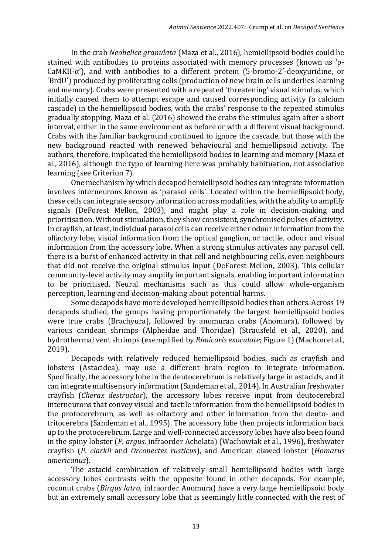In the crab *Neohelice granulata* (Maza et al., 2016), hemiellipsoid bodies could be stained with antibodies to proteins associated with memory processes (known as 'p-CaMKII-α'), and with antibodies to a different protein (5-bromo-2′-deoxyuridine, or 'BrdU') produced by proliferating cells (production of new brain cells underlies learning and memory). Crabs were presented with a repeated 'threatening' visual stimulus, which initially caused them to attempt escape and caused corresponding activity (a calcium cascade) in the hemiellipsoid bodies, with the crabs' response to the repeated stimulus gradually stopping. Maza et al. (2016) showed the crabs the stimulus again after a short interval, either in the same environment as before or with a different visual background. Crabs with the familiar background continued to ignore the cascade, but those with the new background reacted with renewed behavioural and hemiellipsoid activity. The authors, therefore, implicated the hemiellipsoid bodies in learning and memory (Maza et al., 2016), although the type of learning here was probably habituation, not associative learning (see Criterion 7).

One mechanism by which decapod hemiellipsoid bodies can integrate information involves interneurons known as 'parasol cells'. Located within the hemiellipsoid body, these cells can integrate sensory information across modalities, with the ability to amplify signals (DeForest Mellon, 2003), and might play a role in decision-making and prioritisation. Without stimulation, they show consistent, synchronised pulses of activity. In crayfish, at least, individual parasol cells can receive either odour information from the olfactory lobe, visual information from the optical ganglion, or tactile, odour and visual information from the accessory lobe. When a strong stimulus activates any parasol cell, there is a burst of enhanced activity in that cell and neighbouring cells, even neighbours that did not receive the original stimulus input (DeForest Mellon, 2003). This cellular community-level activity may amplify important signals, enabling important information to be prioritised. Neural mechanisms such as this could allow whole-organism perception, learning and decision-making about potential harms.

Some decapods have more developed hemiellipsoid bodies than others. Across 19 decapods studied, the groups having proportionately the largest hemiellipsoid bodies were true crabs (Brachyura), followed by anomuran crabs (Anomura), followed by various caridean shrimps (Alpheidae and Thoridae) (Strausfeld et al., 2020), and hydrothermal vent shrimps (exemplified by *Rimicaris exoculate*; Figure 1) (Machon et al., 2019).

Decapods with relatively reduced hemiellipsoid bodies, such as crayfish and lobsters (Astacidea), may use a different brain region to integrate information. Specifically, the accessory lobe in the deutocerebrum is relatively large in astacids, and it can integrate multisensory information (Sandeman et al., 2014). In Australian freshwater crayfish (*Cherax destructor*), the accessory lobes receive input from deutocerebral interneurons that convey visual and tactile information from the hemiellipsoid bodies in the protocerebrum, as well as olfactory and other information from the deuto- and tritocerebra (Sandeman et al., 1995). The accessory lobe then projects information back up to the protocerebrum. Large and well-connected accessory lobes have also been found in the spiny lobster (*P. argus*, infraorder Achelata) (Wachowiak et al., 1996), freshwater crayfish (*P. clarkii* and *Orconectes rusticus*), and American clawed lobster (*Homarus americanus*).

The astacid combination of relatively small hemiellipsoid bodies with large accessory lobes contrasts with the opposite found in other decapods. For example, coconut crabs (*Birgus latro*, infraorder Anomura) have a very large hemiellipsoid body but an extremely small accessory lobe that is seemingly little connected with the rest of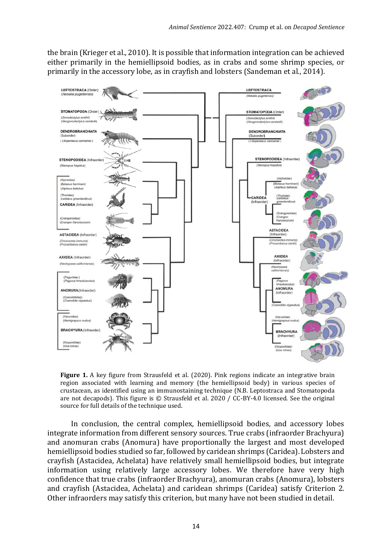the brain (Krieger et al., 2010). It is possible that information integration can be achieved either primarily in the hemiellipsoid bodies, as in crabs and some shrimp species, or primarily in the accessory lobe, as in crayfish and lobsters (Sandeman et al., 2014).



**Figure 1.** A key figure from Strausfeld et al. (2020). Pink regions indicate an integrative brain region associated with learning and memory (the hemiellipsoid body) in various species of crustacean, as identified using an immunostaining technique (N.B. Leptostraca and Stomatopoda are not decapods). This figure is © Strausfeld et al. 2020 / CC-BY-4.0 licensed. See the original source for full details of the technique used.

In conclusion, the central complex, hemiellipsoid bodies, and accessory lobes integrate information from different sensory sources. True crabs (infraorder Brachyura) and anomuran crabs (Anomura) have proportionally the largest and most developed hemiellipsoid bodies studied so far, followed by caridean shrimps (Caridea). Lobsters and crayfish (Astacidea, Achelata) have relatively small hemiellipsoid bodies, but integrate information using relatively large accessory lobes. We therefore have very high confidence that true crabs (infraorder Brachyura), anomuran crabs (Anomura), lobsters and crayfish (Astacidea, Achelata) and caridean shrimps (Caridea) satisfy Criterion 2. Other infraorders may satisfy this criterion, but many have not been studied in detail.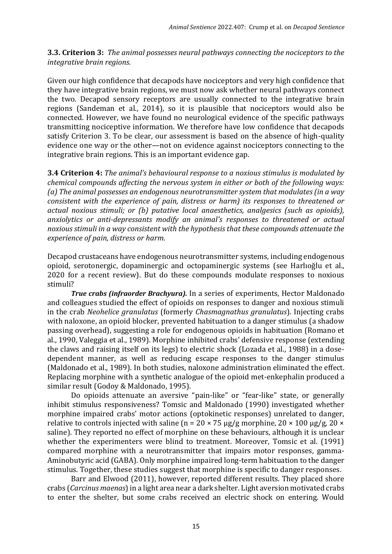**3.3. Criterion 3:** *The animal possesses neural pathways connecting the nociceptors to the integrative brain regions.*

Given our high confidence that decapods have nociceptors and very high confidence that they have integrative brain regions, we must now ask whether neural pathways connect the two. Decapod sensory receptors are usually connected to the integrative brain regions (Sandeman et al., 2014), so it is plausible that nociceptors would also be connected. However, we have found no neurological evidence of the specific pathways transmitting nociceptive information. We therefore have low confidence that decapods satisfy Criterion 3. To be clear, our assessment is based on the absence of high-quality evidence one way or the other—not on evidence against nociceptors connecting to the integrative brain regions. This is an important evidence gap.

**3.4 Criterion 4:** *The animal's behavioural response to a noxious stimulus is modulated by chemical compounds affecting the nervous system in either or both of the following ways: (a) The animal possesses an endogenous neurotransmitter system that modulates (in a way consistent with the experience of pain, distress or harm) its responses to threatened or actual noxious stimuli; or (b) putative local anaesthetics, analgesics (such as opioids), anxiolytics or anti-depressants modify an animal's responses to threatened or actual noxious stimuli in a way consistent with the hypothesis that these compounds attenuate the experience of pain, distress or harm.*

Decapod crustaceans have endogenous neurotransmitter systems, including endogenous opioid, serotonergic, dopaminergic and octopaminergic systems (see Harlıoğlu et al., 2020 for a recent review). But do these compounds modulate responses to noxious stimuli?

*True crabs (infraorder Brachyura).* In a series of experiments, Hector Maldonado and colleagues studied the effect of opioids on responses to danger and noxious stimuli in the crab *Neohelice granulatus* (formerly *Chasmagnathus granulatus*). Injecting crabs with naloxone, an opioid blocker, prevented habituation to a danger stimulus (a shadow passing overhead), suggesting a role for endogenous opioids in habituation (Romano et al., 1990, Valeggia et al., 1989). Morphine inhibited crabs' defensive response (extending the claws and raising itself on its legs) to electric shock (Lozada et al., 1988) in a dosedependent manner, as well as reducing escape responses to the danger stimulus (Maldonado et al., 1989). In both studies, naloxone administration eliminated the effect. Replacing morphine with a synthetic analogue of the opioid met-enkephalin produced a similar result (Godoy & Maldonado, 1995).

Do opioids attenuate an aversive "pain-like" or "fear-like" state, or generally inhibit stimulus responsiveness? Tomsic and Maldonado (1990) investigated whether morphine impaired crabs' motor actions (optokinetic responses) unrelated to danger, relative to controls injected with saline (n =  $20 \times 75 \text{ µg/g}$  morphine,  $20 \times 100 \text{ µg/g}$ ,  $20 \times$ saline). They reported no effect of morphine on these behaviours, although it is unclear whether the experimenters were blind to treatment. Moreover, Tomsic et al. (1991) compared morphine with a neurotransmitter that impairs motor responses, gamma-Aminobutyric acid (GABA). Only morphine impaired long-term habituation to the danger stimulus. Together, these studies suggest that morphine is specific to danger responses.

Barr and Elwood (2011), however, reported different results. They placed shore crabs (*Carcinus maenas*) in a light area near a dark shelter. Light aversion motivated crabs to enter the shelter, but some crabs received an electric shock on entering. Would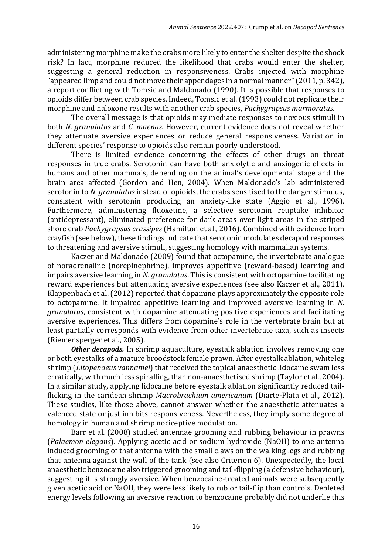administering morphine make the crabs more likely to enter the shelter despite the shock risk? In fact, morphine reduced the likelihood that crabs would enter the shelter, suggesting a general reduction in responsiveness. Crabs injected with morphine "appeared limp and could not move their appendages in a normal manner" (2011, p. 342), a report conflicting with Tomsic and Maldonado (1990). It is possible that responses to opioids differ between crab species. Indeed, Tomsic et al. (1993) could not replicate their morphine and naloxone results with another crab species, *Pachygrapsus marmoratus*.

The overall message is that opioids may mediate responses to noxious stimuli in both *N. granulatus* and *C. maenas*. However, current evidence does not reveal whether they attenuate aversive experiences or reduce general responsiveness. Variation in different species' response to opioids also remain poorly understood.

There is limited evidence concerning the effects of other drugs on threat responses in true crabs. Serotonin can have both anxiolytic and anxiogenic effects in humans and other mammals, depending on the animal's developmental stage and the brain area affected (Gordon and Hen, 2004). When Maldonado's lab administered serotonin to *N. granulatus* instead of opioids, the crabs sensitised to the danger stimulus, consistent with serotonin producing an anxiety-like state (Aggio et al., 1996). Furthermore, administering fluoxetine, a selective serotonin reuptake inhibitor (antidepressant), eliminated preference for dark areas over light areas in the striped shore crab *Pachygrapsus crassipes* (Hamilton et al., 2016). Combined with evidence from crayfish (see below), these findings indicate that serotonin modulates decapod responses to threatening and aversive stimuli, suggesting homology with mammalian systems.

Kaczer and Maldonado (2009) found that octopamine, the invertebrate analogue of noradrenaline (norepinephrine), improves appetitive (reward-based) learning and impairs aversive learning in *N. granulatus*. This is consistent with octopamine facilitating reward experiences but attenuating aversive experiences (see also Kaczer et al., 2011). Klappenbach et al. (2012) reported that dopamine plays approximately the opposite role to octopamine. It impaired appetitive learning and improved aversive learning in *N. granulatus*, consistent with dopamine attenuating positive experiences and facilitating aversive experiences. This differs from dopamine's role in the vertebrate brain but at least partially corresponds with evidence from other invertebrate taxa, such as insects (Riemensperger et al., 2005).

*Other decapods.* In shrimp aquaculture, eyestalk ablation involves removing one or both eyestalks of a mature broodstock female prawn. After eyestalk ablation, whiteleg shrimp (*Litopenaeus vannamei*) that received the topical anaesthetic lidocaine swam less erratically, with much less spiralling, than non-anaesthetised shrimp (Taylor et al., 2004). In a similar study, applying lidocaine before eyestalk ablation significantly reduced tailflicking in the caridean shrimp *Macrobrachium americanum* (Diarte-Plata et al., 2012). These studies, like those above, cannot answer whether the anaesthetic attenuates a valenced state or just inhibits responsiveness. Nevertheless, they imply some degree of homology in human and shrimp nociceptive modulation.

Barr et al. (2008) studied antennae grooming and rubbing behaviour in prawns (*Palaemon elegans*). Applying acetic acid or sodium hydroxide (NaOH) to one antenna induced grooming of that antenna with the small claws on the walking legs and rubbing that antenna against the wall of the tank (see also Criterion 6). Unexpectedly, the local anaesthetic benzocaine also triggered grooming and tail-flipping (a defensive behaviour), suggesting it is strongly aversive. When benzocaine-treated animals were subsequently given acetic acid or NaOH, they were less likely to rub or tail-flip than controls. Depleted energy levels following an aversive reaction to benzocaine probably did not underlie this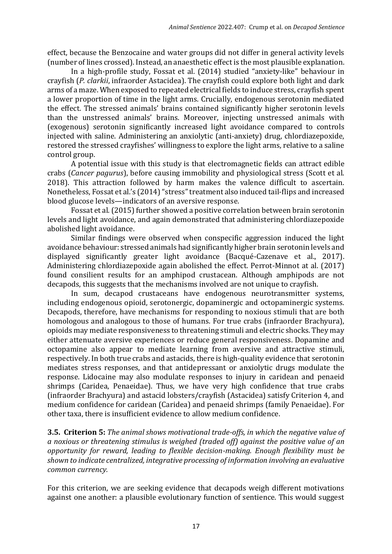effect, because the Benzocaine and water groups did not differ in general activity levels (number of lines crossed). Instead, an anaesthetic effect is the most plausible explanation.

In a high-profile study, Fossat et al. (2014) studied "anxiety-like" behaviour in crayfish (*P. clarkii*, infraorder Astacidea). The crayfish could explore both light and dark arms of a maze. When exposed to repeated electrical fields to induce stress, crayfish spent a lower proportion of time in the light arms. Crucially, endogenous serotonin mediated the effect. The stressed animals' brains contained significantly higher serotonin levels than the unstressed animals' brains. Moreover, injecting unstressed animals with (exogenous) serotonin significantly increased light avoidance compared to controls injected with saline. Administering an anxiolytic (anti-anxiety) drug, chlordiazepoxide, restored the stressed crayfishes' willingness to explore the light arms, relative to a saline control group.

A potential issue with this study is that electromagnetic fields can attract edible crabs (*Cancer pagurus*), before causing immobility and physiological stress (Scott et al. 2018). This attraction followed by harm makes the valence difficult to ascertain. Nonetheless, Fossat et al.'s (2014) "stress" treatment also induced tail-flips and increased blood glucose levels—indicators of an aversive response.

Fossat et al. (2015) further showed a positive correlation between brain serotonin levels and light avoidance, and again demonstrated that administering chlordiazepoxide abolished light avoidance.

Similar findings were observed when conspecific aggression induced the light avoidance behaviour: stressed animals had significantly higher brain serotonin levels and displayed significantly greater light avoidance (Bacqué-Cazenave et al., 2017). Administering chlordiazepoxide again abolished the effect. Perrot-Minnot at al. (2017) found consilient results for an amphipod crustacean. Although amphipods are not decapods, this suggests that the mechanisms involved are not unique to crayfish.

In sum, decapod crustaceans have endogenous neurotransmitter systems, including endogenous opioid, serotonergic, dopaminergic and octopaminergic systems. Decapods, therefore, have mechanisms for responding to noxious stimuli that are both homologous and analogous to those of humans. For true crabs (infraorder Brachyura), opioids may mediate responsiveness to threatening stimuli and electric shocks. They may either attenuate aversive experiences or reduce general responsiveness. Dopamine and octopamine also appear to mediate learning from aversive and attractive stimuli, respectively. In both true crabs and astacids, there is high-quality evidence that serotonin mediates stress responses, and that antidepressant or anxiolytic drugs modulate the response. Lidocaine may also modulate responses to injury in caridean and penaeid shrimps (Caridea, Penaeidae). Thus, we have very high confidence that true crabs (infraorder Brachyura) and astacid lobsters/crayfish (Astacidea) satisfy Criterion 4, and medium confidence for caridean (Caridea) and penaeid shrimps (family Penaeidae). For other taxa, there is insufficient evidence to allow medium confidence.

**3.5. Criterion 5:** *The animal shows motivational trade-offs, in which the negative value of a noxious or threatening stimulus is weighed (traded off) against the positive value of an opportunity for reward, leading to flexible decision-making. Enough flexibility must be shown to indicate centralized, integrative processing of information involving an evaluative common currency.*

For this criterion, we are seeking evidence that decapods weigh different motivations against one another: a plausible evolutionary function of sentience. This would suggest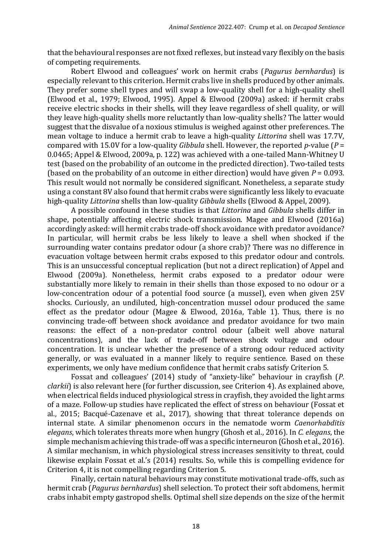that the behavioural responses are not fixed reflexes, but instead vary flexibly on the basis of competing requirements.

Robert Elwood and colleagues' work on hermit crabs (*Pagurus bernhardus*) is especially relevant to this criterion. Hermit crabs live in shells produced by other animals. They prefer some shell types and will swap a low-quality shell for a high-quality shell (Elwood et al., 1979; Elwood, 1995). Appel & Elwood (2009a) asked: if hermit crabs receive electric shocks in their shells, will they leave regardless of shell quality, or will they leave high-quality shells more reluctantly than low-quality shells? The latter would suggest that the disvalue of a noxious stimulus is weighed against other preferences. The mean voltage to induce a hermit crab to leave a high-quality *Littorina* shell was 17.7V, compared with 15.0V for a low-quality *Gibbula* shell. However, the reported *p*-value (*P* = 0.0465; Appel & Elwood, 2009a, p. 122) was achieved with a one-tailed Mann-Whitney U test (based on the probability of an outcome in the predicted direction). Two-tailed tests (based on the probability of an outcome in either direction) would have given  $P = 0.093$ . This result would not normally be considered significant. Nonetheless, a separate study using a constant 8V also found that hermit crabs were significantly less likely to evacuate high-quality *Littorina* shells than low-quality *Gibbula* shells (Elwood & Appel, 2009).

A possible confound in these studies is that *Littorina* and *Gibbula* shells differ in shape, potentially affecting electric shock transmission. Magee and Elwood (2016a) accordingly asked: will hermit crabs trade-off shock avoidance with predator avoidance? In particular, will hermit crabs be less likely to leave a shell when shocked if the surrounding water contains predator odour (a shore crab)? There was no difference in evacuation voltage between hermit crabs exposed to this predator odour and controls. This is an unsuccessful conceptual replication (but not a direct replication) of Appel and Elwood (2009a). Nonetheless, hermit crabs exposed to a predator odour were substantially more likely to remain in their shells than those exposed to no odour or a low-concentration odour of a potential food source (a mussel), even when given 25V shocks. Curiously, an undiluted, high-concentration mussel odour produced the same effect as the predator odour (Magee & Elwood, 2016a, Table 1). Thus, there is no convincing trade-off between shock avoidance and predator avoidance for two main reasons: the effect of a non-predator control odour (albeit well above natural concentrations), and the lack of trade-off between shock voltage and odour concentration. It is unclear whether the presence of a strong odour reduced activity generally, or was evaluated in a manner likely to require sentience. Based on these experiments, we only have medium confidence that hermit crabs satisfy Criterion 5.

Fossat and colleagues' (2014) study of "anxiety-like" behaviour in crayfish (*P. clarkii*) is also relevant here (for further discussion, see Criterion 4). As explained above, when electrical fields induced physiological stress in crayfish, they avoided the light arms of a maze. Follow-up studies have replicated the effect of stress on behaviour (Fossat et al., 2015; Bacqué-Cazenave et al., 2017), showing that threat tolerance depends on internal state. A similar phenomenon occurs in the nematode worm *Caenorhabditis elegans*, which tolerates threats more when hungry (Ghosh et al., 2016). In *C. elegans*, the simple mechanism achieving this trade-off was a specific interneuron (Ghosh et al., 2016). A similar mechanism, in which physiological stress increases sensitivity to threat, could likewise explain Fossat et al.'s (2014) results. So, while this is compelling evidence for Criterion 4, it is not compelling regarding Criterion 5.

Finally, certain natural behaviours may constitute motivational trade-offs, such as hermit crab (*Pagurus bernhardus*) shell selection. To protect their soft abdomens, hermit crabs inhabit empty gastropod shells. Optimal shell size depends on the size of the hermit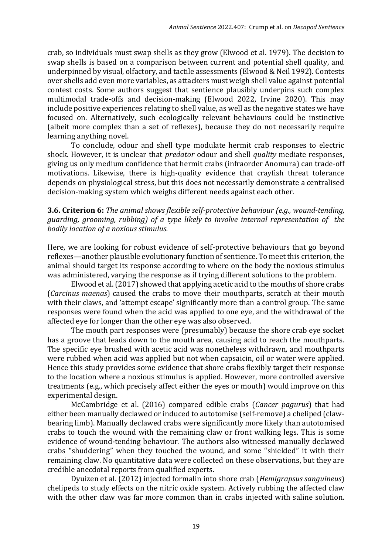crab, so individuals must swap shells as they grow (Elwood et al. 1979). The decision to swap shells is based on a comparison between current and potential shell quality, and underpinned by visual, olfactory, and tactile assessments (Elwood & Neil 1992). Contests over shells add even more variables, as attackers must weigh shell value against potential contest costs. Some authors suggest that sentience plausibly underpins such complex multimodal trade-offs and decision-making (Elwood 2022, Irvine 2020). This may include positive experiences relating to shell value, as well as the negative states we have focused on. Alternatively, such ecologically relevant behaviours could be instinctive (albeit more complex than a set of reflexes), because they do not necessarily require learning anything novel.

To conclude, odour and shell type modulate hermit crab responses to electric shock. However, it is unclear that *predator* odour and shell *quality* mediate responses, giving us only medium confidence that hermit crabs (infraorder Anomura) can trade-off motivations. Likewise, there is high-quality evidence that crayfish threat tolerance depends on physiological stress, but this does not necessarily demonstrate a centralised decision-making system which weighs different needs against each other.

# **3.6. Criterion 6:** *The animal shows flexible self-protective behaviour (e.g., wound-tending, guarding, grooming, rubbing) of a type likely to involve internal representation of the bodily location of a noxious stimulus.*

Here, we are looking for robust evidence of self-protective behaviours that go beyond reflexes—another plausible evolutionary function of sentience. To meet this criterion, the animal should target its response according to where on the body the noxious stimulus was administered, varying the response as if trying different solutions to the problem.

Elwood et al. (2017) showed that applying acetic acid to the mouths of shore crabs (*Carcinus maenas*) caused the crabs to move their mouthparts, scratch at their mouth with their claws, and 'attempt escape' significantly more than a control group. The same responses were found when the acid was applied to one eye, and the withdrawal of the affected eye for longer than the other eye was also observed.

The mouth part responses were (presumably) because the shore crab eye socket has a groove that leads down to the mouth area, causing acid to reach the mouthparts. The specific eye brushed with acetic acid was nonetheless withdrawn, and mouthparts were rubbed when acid was applied but not when capsaicin, oil or water were applied. Hence this study provides some evidence that shore crabs flexibly target their response to the location where a noxious stimulus is applied. However, more controlled aversive treatments (e.g., which precisely affect either the eyes or mouth) would improve on this experimental design.

McCambridge et al. (2016) compared edible crabs (*Cancer pagurus*) that had either been manually declawed or induced to autotomise (self-remove) a cheliped (clawbearing limb). Manually declawed crabs were significantly more likely than autotomised crabs to touch the wound with the remaining claw or front walking legs. This is some evidence of wound-tending behaviour. The authors also witnessed manually declawed crabs "shuddering" when they touched the wound, and some "shielded" it with their remaining claw. No quantitative data were collected on these observations, but they are credible anecdotal reports from qualified experts.

Dyuizen et al. (2012) injected formalin into shore crab (*Hemigrapsus sanguineus*) chelipeds to study effects on the nitric oxide system. Actively rubbing the affected claw with the other claw was far more common than in crabs injected with saline solution.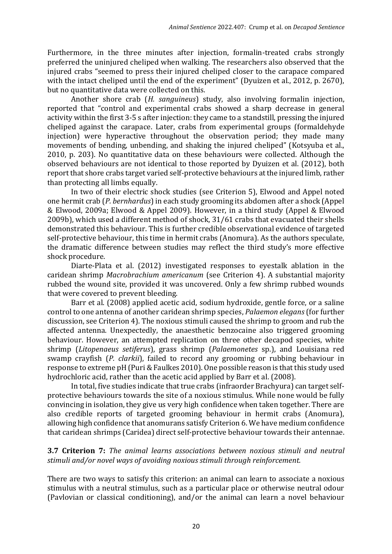Furthermore, in the three minutes after injection, formalin-treated crabs strongly preferred the uninjured cheliped when walking. The researchers also observed that the injured crabs "seemed to press their injured cheliped closer to the carapace compared with the intact cheliped until the end of the experiment" (Dyuizen et al., 2012, p. 2670), but no quantitative data were collected on this.

Another shore crab (*H. sanguineus*) study, also involving formalin injection, reported that "control and experimental crabs showed a sharp decrease in general activity within the first 3-5 s after injection: they came to a standstill, pressing the injured cheliped against the carapace. Later, crabs from experimental groups (formaldehyde injection) were hyperactive throughout the observation period; they made many movements of bending, unbending, and shaking the injured cheliped" (Kotsyuba et al., 2010, p. 203). No quantitative data on these behaviours were collected. Although the observed behaviours are not identical to those reported by Dyuizen et al. (2012), both report that shore crabs target varied self-protective behaviours at the injured limb, rather than protecting all limbs equally.

In two of their electric shock studies (see Criterion 5), Elwood and Appel noted one hermit crab (*P. bernhardus*) in each study grooming its abdomen after a shock (Appel & Elwood, 2009a; Elwood & Appel 2009). However, in a third study (Appel & Elwood 2009b), which used a different method of shock, 31/61 crabs that evacuated their shells demonstrated this behaviour. This is further credible observational evidence of targeted self-protective behaviour, this time in hermit crabs (Anomura). As the authors speculate, the dramatic difference between studies may reflect the third study's more effective shock procedure.

Diarte-Plata et al. (2012) investigated responses to eyestalk ablation in the caridean shrimp *Macrobrachium americanum* (see Criterion 4). A substantial majority rubbed the wound site, provided it was uncovered. Only a few shrimp rubbed wounds that were covered to prevent bleeding.

Barr et al. (2008) applied acetic acid, sodium hydroxide, gentle force, or a saline control to one antenna of another caridean shrimp species, *Palaemon elegans* (for further discussion, see Criterion 4). The noxious stimuli caused the shrimp to groom and rub the affected antenna. Unexpectedly, the anaesthetic benzocaine also triggered grooming behaviour. However, an attempted replication on three other decapod species, white shrimp (*Litopenaeus setiferus*), grass shrimp (*Palaemonetes* sp.), and Louisiana red swamp crayfish (*P. clarkii*), failed to record any grooming or rubbing behaviour in response to extreme pH (Puri & Faulkes 2010). One possible reason is that this study used hydrochloric acid, rather than the acetic acid applied by Barr et al. (2008).

In total, five studies indicate that true crabs (infraorder Brachyura) can target selfprotective behaviours towards the site of a noxious stimulus. While none would be fully convincing in isolation, they give us very high confidence when taken together. There are also credible reports of targeted grooming behaviour in hermit crabs (Anomura), allowing high confidence that anomurans satisfy Criterion 6. We have medium confidence that caridean shrimps (Caridea) direct self-protective behaviour towards their antennae.

# **3.7 Criterion 7:** *The animal learns associations between noxious stimuli and neutral stimuli and/or novel ways of avoiding noxious stimuli through reinforcement.*

There are two ways to satisfy this criterion: an animal can learn to associate a noxious stimulus with a neutral stimulus, such as a particular place or otherwise neutral odour (Pavlovian or classical conditioning), and/or the animal can learn a novel behaviour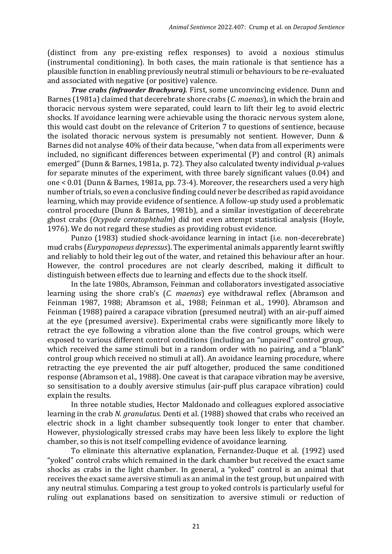(distinct from any pre-existing reflex responses) to avoid a noxious stimulus (instrumental conditioning). In both cases, the main rationale is that sentience has a plausible function in enabling previously neutral stimuli or behaviours to be re-evaluated and associated with negative (or positive) valence.

*True crabs (infraorder Brachyura).* First, some unconvincing evidence. Dunn and Barnes (1981a) claimed that decerebrate shore crabs (*C. maenas*), in which the brain and thoracic nervous system were separated, could learn to lift their leg to avoid electric shocks. If avoidance learning were achievable using the thoracic nervous system alone, this would cast doubt on the relevance of Criterion 7 to questions of sentience, because the isolated thoracic nervous system is presumably not sentient. However, Dunn & Barnes did not analyse 40% of their data because, "when data from all experiments were included, no significant differences between experimental (P) and control (R) animals emerged" (Dunn & Barnes, 1981a, p. 72). They also calculated twenty individual *p*-values for separate minutes of the experiment, with three barely significant values (0.04) and one < 0.01 (Dunn & Barnes, 1981a, pp. 73-4). Moreover, the researchers used a very high number of trials, so even a conclusive finding could never be described as rapid avoidance learning, which may provide evidence of sentience. A follow-up study used a problematic control procedure (Dunn & Barnes, 1981b), and a similar investigation of decerebrate ghost crabs (*Ocypode ceratophthalm*) did not even attempt statistical analysis (Hoyle, 1976). We do not regard these studies as providing robust evidence.

Punzo (1983) studied shock-avoidance learning in intact (i.e. non-decerebrate) mud crabs (*Eurypanopeus depressus*). The experimental animals apparently learnt swiftly and reliably to hold their leg out of the water, and retained this behaviour after an hour. However, the control procedures are not clearly described, making it difficult to distinguish between effects due to learning and effects due to the shock itself.

In the late 1980s, Abramson, Feinman and collaborators investigated associative learning using the shore crab's (*C. maenas*) eye withdrawal reflex (Abramson and Feinman 1987, 1988; Abramson et al., 1988; Feinman et al., 1990). Abramson and Feinman (1988) paired a carapace vibration (presumed neutral) with an air-puff aimed at the eye (presumed aversive). Experimental crabs were significantly more likely to retract the eye following a vibration alone than the five control groups, which were exposed to various different control conditions (including an "unpaired" control group, which received the same stimuli but in a random order with no pairing, and a "blank" control group which received no stimuli at all). An avoidance learning procedure, where retracting the eye prevented the air puff altogether, produced the same conditioned response (Abramson et al., 1988). One caveat is that carapace vibration may be aversive, so sensitisation to a doubly aversive stimulus (air-puff plus carapace vibration) could explain the results.

In three notable studies, Hector Maldonado and colleagues explored associative learning in the crab *N. granulatus*. Denti et al. (1988) showed that crabs who received an electric shock in a light chamber subsequently took longer to enter that chamber. However, physiologically stressed crabs may have been less likely to explore the light chamber, so this is not itself compelling evidence of avoidance learning.

To eliminate this alternative explanation, Fernandez-Duque et al. (1992) used "yoked" control crabs which remained in the dark chamber but received the exact same shocks as crabs in the light chamber. In general, a "yoked" control is an animal that receives the exact same aversive stimuli as an animal in the test group, but unpaired with any neutral stimulus. Comparing a test group to yoked controls is particularly useful for ruling out explanations based on sensitization to aversive stimuli or reduction of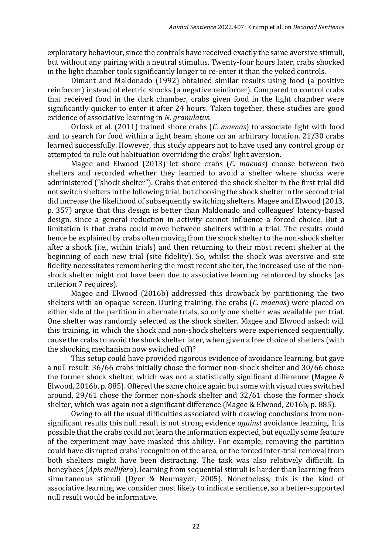exploratory behaviour, since the controls have received exactly the same aversive stimuli, but without any pairing with a neutral stimulus. Twenty-four hours later, crabs shocked in the light chamber took significantly longer to re-enter it than the yoked controls.

Dimant and Maldonado (1992) obtained similar results using food (a positive reinforcer) instead of electric shocks (a negative reinforcer). Compared to control crabs that received food in the dark chamber, crabs given food in the light chamber were significantly quicker to enter it after 24 hours. Taken together, these studies are good evidence of associative learning in *N. granulatus*.

Orlosk et al. (2011) trained shore crabs (*C. maenas*) to associate light with food and to search for food within a light beam shone on an arbitrary location. 21/30 crabs learned successfully. However, this study appears not to have used any control group or attempted to rule out habituation overriding the crabs' light aversion.

Magee and Elwood (2013) let shore crabs (*C. maenas*) choose between two shelters and recorded whether they learned to avoid a shelter where shocks were administered ("shock shelter"). Crabs that entered the shock shelter in the first trial did not switch shelters in the following trial, but choosing the shock shelter in the second trial did increase the likelihood of subsequently switching shelters. Magee and Elwood (2013, p. 357) argue that this design is better than Maldonado and colleagues' latency-based design, since a general reduction in activity cannot influence a forced choice. But a limitation is that crabs could move between shelters within a trial. The results could hence be explained by crabs often moving from the shock shelter to the non-shock shelter after a shock (i.e., within trials) and then returning to their most recent shelter at the beginning of each new trial (site fidelity). So, whilst the shock was aversive and site fidelity necessitates remembering the most recent shelter, the increased use of the nonshock shelter might not have been due to associative learning reinforced by shocks (as criterion 7 requires).

Magee and Elwood (2016b) addressed this drawback by partitioning the two shelters with an opaque screen. During training, the crabs (*C. maenas*) were placed on either side of the partition in alternate trials, so only one shelter was available per trial. One shelter was randomly selected as the shock shelter. Magee and Elwood asked: will this training, in which the shock and non-shock shelters were experienced sequentially, cause the crabs to avoid the shock shelter later, when given a free choice of shelters (with the shocking mechanism now switched off)?

This setup could have provided rigorous evidence of avoidance learning, but gave a null result: 36/66 crabs initially chose the former non-shock shelter and 30/66 chose the former shock shelter, which was not a statistically significant difference (Magee & Elwood, 2016b, p. 885). Offered the same choice again but some with visual cues switched around, 29/61 chose the former non-shock shelter and 32/61 chose the former shock shelter, which was again not a significant difference (Magee & Elwood, 2016b, p. 885).

Owing to all the usual difficulties associated with drawing conclusions from nonsignificant results this null result is not strong evidence *against* avoidance learning. It is possible that the crabs could not learn the information expected, but equally some feature of the experiment may have masked this ability. For example, removing the partition could have disrupted crabs' recognition of the area, or the forced inter-trial removal from both shelters might have been distracting. The task was also relatively difficult. In honeybees (*Apis mellifera*), learning from sequential stimuli is harder than learning from simultaneous stimuli (Dyer & Neumayer, 2005). Nonetheless, this is the kind of associative learning we consider most likely to indicate sentience, so a better-supported null result would be informative.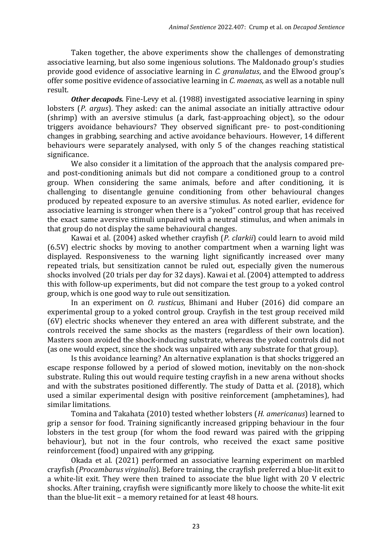Taken together, the above experiments show the challenges of demonstrating associative learning, but also some ingenious solutions. The Maldonado group's studies provide good evidence of associative learning in *C. granulatus*, and the Elwood group's offer some positive evidence of associative learning in *C. maenas*, as well as a notable null result.

*Other decapods.* Fine-Levy et al. (1988) investigated associative learning in spiny lobsters (*P. argus*). They asked: can the animal associate an initially attractive odour (shrimp) with an aversive stimulus (a dark, fast-approaching object), so the odour triggers avoidance behaviours? They observed significant pre- to post-conditioning changes in grabbing, searching and active avoidance behaviours. However, 14 different behaviours were separately analysed, with only 5 of the changes reaching statistical significance.

We also consider it a limitation of the approach that the analysis compared preand post-conditioning animals but did not compare a conditioned group to a control group. When considering the same animals, before and after conditioning, it is challenging to disentangle genuine conditioning from other behavioural changes produced by repeated exposure to an aversive stimulus. As noted earlier, evidence for associative learning is stronger when there is a "yoked" control group that has received the exact same aversive stimuli unpaired with a neutral stimulus, and when animals in that group do not display the same behavioural changes.

Kawai et al. (2004) asked whether crayfish (*P. clarkii*) could learn to avoid mild (6.5V) electric shocks by moving to another compartment when a warning light was displayed. Responsiveness to the warning light significantly increased over many repeated trials, but sensitization cannot be ruled out, especially given the numerous shocks involved (20 trials per day for 32 days). Kawai et al. (2004) attempted to address this with follow-up experiments, but did not compare the test group to a yoked control group, which is one good way to rule out sensitization.

In an experiment on *O. rusticus*, Bhimani and Huber (2016) did compare an experimental group to a yoked control group. Crayfish in the test group received mild (6V) electric shocks whenever they entered an area with different substrate, and the controls received the same shocks as the masters (regardless of their own location). Masters soon avoided the shock-inducing substrate, whereas the yoked controls did not (as one would expect, since the shock was unpaired with any substrate for that group).

Is this avoidance learning? An alternative explanation is that shocks triggered an escape response followed by a period of slowed motion, inevitably on the non-shock substrate. Ruling this out would require testing crayfish in a new arena without shocks and with the substrates positioned differently. The study of Datta et al. (2018), which used a similar experimental design with positive reinforcement (amphetamines), had similar limitations.

Tomina and Takahata (2010) tested whether lobsters (*H. americanus*) learned to grip a sensor for food. Training significantly increased gripping behaviour in the four lobsters in the test group (for whom the food reward was paired with the gripping behaviour), but not in the four controls, who received the exact same positive reinforcement (food) unpaired with any gripping.

Okada et al. (2021) performed an associative learning experiment on marbled crayfish (*Procambarus virginalis*). Before training, the crayfish preferred a blue-lit exit to a white-lit exit. They were then trained to associate the blue light with 20 V electric shocks. After training, crayfish were significantly more likely to choose the white-lit exit than the blue-lit exit – a memory retained for at least 48 hours.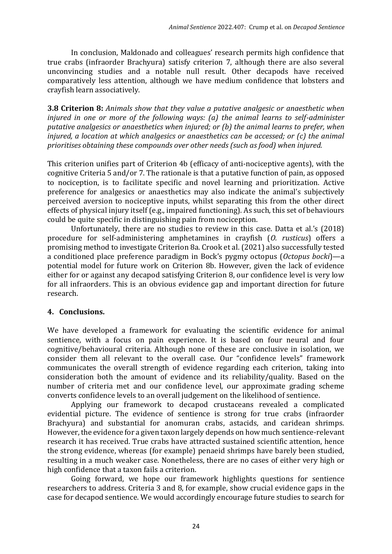In conclusion, Maldonado and colleagues' research permits high confidence that true crabs (infraorder Brachyura) satisfy criterion 7, although there are also several unconvincing studies and a notable null result. Other decapods have received comparatively less attention, although we have medium confidence that lobsters and crayfish learn associatively.

**3.8 Criterion 8:** *Animals show that they value a putative analgesic or anaesthetic when injured in one or more of the following ways: (a) the animal learns to self-administer putative analgesics or anaesthetics when injured; or (b) the animal learns to prefer, when injured, a location at which analgesics or anaesthetics can be accessed; or (c) the animal prioritises obtaining these compounds over other needs (such as food) when injured.*

This criterion unifies part of Criterion 4b (efficacy of anti-nociceptive agents), with the cognitive Criteria 5 and/or 7. The rationale is that a putative function of pain, as opposed to nociception, is to facilitate specific and novel learning and prioritization. Active preference for analgesics or anaesthetics may also indicate the animal's subjectively perceived aversion to nociceptive inputs, whilst separating this from the other direct effects of physical injury itself (e.g., impaired functioning). As such, this set of behaviours could be quite specific in distinguishing pain from nociception.

Unfortunately, there are no studies to review in this case. Datta et al.'s (2018) procedure for self-administering amphetamines in crayfish (*O. rusticus*) offers a promising method to investigate Criterion 8a. Crook et al. (2021) also successfully tested a conditioned place preference paradigm in Bock's pygmy octopus (*Octopus bocki*)—a potential model for future work on Criterion 8b. However, given the lack of evidence either for or against any decapod satisfying Criterion 8, our confidence level is very low for all infraorders. This is an obvious evidence gap and important direction for future research.

### **4. Conclusions.**

We have developed a framework for evaluating the scientific evidence for animal sentience, with a focus on pain experience. It is based on four neural and four cognitive/behavioural criteria. Although none of these are conclusive in isolation, we consider them all relevant to the overall case. Our "confidence levels" framework communicates the overall strength of evidence regarding each criterion, taking into consideration both the amount of evidence and its reliability/quality. Based on the number of criteria met and our confidence level, our approximate grading scheme converts confidence levels to an overall judgement on the likelihood of sentience.

Applying our framework to decapod crustaceans revealed a complicated evidential picture. The evidence of sentience is strong for true crabs (infraorder Brachyura) and substantial for anomuran crabs, astacids, and caridean shrimps. However, the evidence for a given taxon largely depends on how much sentience-relevant research it has received. True crabs have attracted sustained scientific attention, hence the strong evidence, whereas (for example) penaeid shrimps have barely been studied, resulting in a much weaker case. Nonetheless, there are no cases of either very high or high confidence that a taxon fails a criterion.

Going forward, we hope our framework highlights questions for sentience researchers to address. Criteria 3 and 8, for example, show crucial evidence gaps in the case for decapod sentience. We would accordingly encourage future studies to search for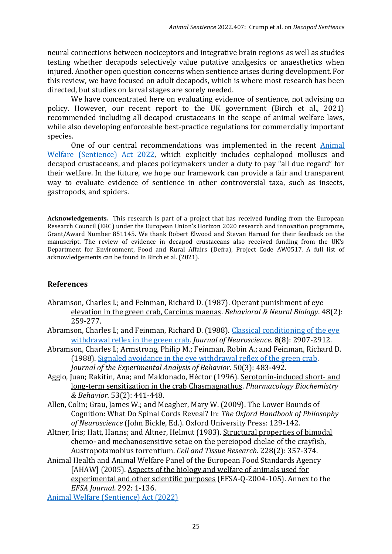neural connections between nociceptors and integrative brain regions as well as studies testing whether decapods selectively value putative analgesics or anaesthetics when injured. Another open question concerns when sentience arises during development. For this review, we have focused on adult decapods, which is where most research has been directed, but studies on larval stages are sorely needed.

We have concentrated here on evaluating evidence of sentience, not advising on policy. However, our recent report to the UK government (Birch et al., 2021) recommended including all decapod crustaceans in the scope of animal welfare laws, while also developing enforceable best-practice regulations for commercially important species.

One of our central recommendations was implemented in the recent [Animal](https://www.legislation.gov.uk/ukpga/2022/22/enacted)  [Welfare \(Sentience\) Act 2022,](https://www.legislation.gov.uk/ukpga/2022/22/enacted) which explicitly includes cephalopod molluscs and decapod crustaceans, and places policymakers under a duty to pay "all due regard" for their welfare. In the future, we hope our framework can provide a fair and transparent way to evaluate evidence of sentience in other controversial taxa, such as insects, gastropods, and spiders.

**Acknowledgements***.* This research is part of a project that has received funding from the European Research Council (ERC) under the European Union's Horizon 2020 research and innovation programme, Grant/Award Number 851145. We thank Robert Elwood and Stevan Harnad for their feedback on the manuscript. The review of evidence in decapod crustaceans also received funding from the UK's Department for Environment, Food and Rural Affairs (Defra), Project Code AW0517. A full list of acknowledgements can be found in Birch et al. (2021).

# **References**

- Abramson, Charles I.; and Feinman, Richard D. (1987). Operant punishment of eye elevation in the green crab, Carcinus maenas. *Behavioral & Neural Biology*. 48(2): 259-277.
- Abramson, Charles I.; and Feinman, Richard D. (1988). [Classical conditioning](https://www.jneurosci.org/content/8/8/2907.short) of the eye [withdrawal reflex in the green crab.](https://www.jneurosci.org/content/8/8/2907.short) *Journal of Neuroscience.* 8(8): 2907-2912.
- Abramson, Charles I.; Armstrong, Philip M.; Feinman, Robin A.; and Feinman, Richard D. (1988). [Signaled avoidance in the eye withdrawal reflex of the green crab.](https://onlinelibrary.wiley.com/doi/abs/10.1901/jeab.1988.50-483) *Journal of the Experimental Analysis of Behavior.* 50(3): 483-492.
- Aggio, Juan; Rakitín, Ana; and Maldonado, Héctor (1996). Serotonin-induced short- and long-term sensitization in the crab Chasmagnathus. *Pharmacology Biochemistry & Behavior.* 53(2): 441-448.
- Allen, Colin; Grau, James W.; and Meagher, Mary W. (2009). The Lower Bounds of Cognition: What Do Spinal Cords Reveal? In: *The Oxford Handbook of Philosophy of Neuroscience* (John Bickle, Ed.). Oxford University Press: 129-142.
- Altner, Iris; Hatt, Hanns; and Altner, Helmut (1983). Structural properties of bimodal chemo- and mechanosensitive setae on the pereiopod chelae of the crayfish, Austropotamobius torrentium. *Cell and Tissue Research*. 228(2): 357-374.
- Animal Health and Animal Welfare Panel of the European Food Standards Agency [AHAW] (2005). Aspects of the biology and welfare of animals used for experimental and other scientific purposes (EFSA-Q-2004-105). Annex to the *EFSA Journal*. 292: 1-136.

[Animal Welfare \(Sentience\) Act \(2022\)](https://www.legislation.gov.uk/ukpga/2022/22/enacted)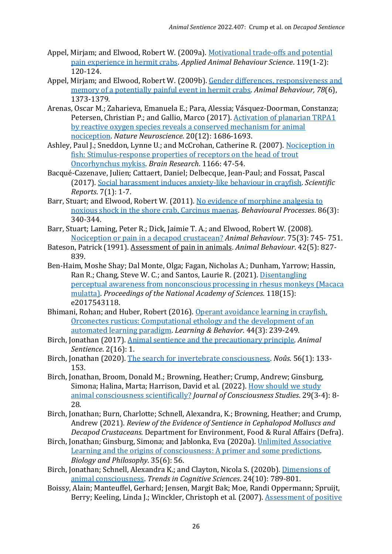- Appel, Mirjam; and Elwood, Robert W. (2009a). [Motivational trade-offs and potential](https://www.sciencedirect.com/science/article/pii/S0168159109001038?casa_token=L4K1PY1-eVEAAAAA:nwh_G_atrIF0r6Qj3KJfkBhLX1fqjcvahwD5ZycJOw8d6Ebap-_DHTQtlbMIjpD6p4GNVtTq8yI)  [pain experience in hermit crabs.](https://www.sciencedirect.com/science/article/pii/S0168159109001038?casa_token=L4K1PY1-eVEAAAAA:nwh_G_atrIF0r6Qj3KJfkBhLX1fqjcvahwD5ZycJOw8d6Ebap-_DHTQtlbMIjpD6p4GNVtTq8yI) *Applied Animal Behaviour Science*. 119(1-2): 120-124.
- Appel, Mirjam; and Elwood, Robert W. (2009b). [Gender differences, responsiveness and](https://www.sciencedirect.com/science/article/pii/S0003347209004138?casa_token=8fAAl-dgoIQAAAAA:hZgfERTQd0LgkagF_3OQU5XP0bNbEzFoss4aOw6GJJGkri1PoDNL_SNIYLKON6i9cgYgTbNxpT0)  [memory of a potentially painful event in hermit crabs.](https://www.sciencedirect.com/science/article/pii/S0003347209004138?casa_token=8fAAl-dgoIQAAAAA:hZgfERTQd0LgkagF_3OQU5XP0bNbEzFoss4aOw6GJJGkri1PoDNL_SNIYLKON6i9cgYgTbNxpT0) *Animal Behaviour, 78*(6), 1373-1379.
- Arenas, Oscar M.; Zaharieva, Emanuela E.; Para, Alessia; Vásquez-Doorman, Constanza; Petersen, Christian P.; and Gallio, Marco (2017). [Activation of planarian TRPA1](https://www.nature.com/articles/s41593-017-0005-0)  [by reactive oxygen species reveals a conserved mechanism for animal](https://www.nature.com/articles/s41593-017-0005-0)  [nociception.](https://www.nature.com/articles/s41593-017-0005-0) *Nature Neuroscience.* 20(12): 1686-1693.
- Ashley, Paul J.; Sneddon, Lynne U.; and McCrohan, Catherine R. (2007). [Nociception in](https://www.sciencedirect.com/science/article/pii/S000689930701582X?casa_token=iaA_tVhDaSMAAAAA:dLEU3Xo6mzDJznV6FMf-4ccXMsM8amEAM20PAhteMNlONbTjfaAvKdrd9XXa7cuSect1U8rWrbo)  [fish: Stimulus-response properties of receptors on the head of trout](https://www.sciencedirect.com/science/article/pii/S000689930701582X?casa_token=iaA_tVhDaSMAAAAA:dLEU3Xo6mzDJznV6FMf-4ccXMsM8amEAM20PAhteMNlONbTjfaAvKdrd9XXa7cuSect1U8rWrbo)  [Oncorhynchus mykiss.](https://www.sciencedirect.com/science/article/pii/S000689930701582X?casa_token=iaA_tVhDaSMAAAAA:dLEU3Xo6mzDJznV6FMf-4ccXMsM8amEAM20PAhteMNlONbTjfaAvKdrd9XXa7cuSect1U8rWrbo) *Brain Research*. 1166: 47-54.
- Bacqué-Cazenave, Julien; Cattaert, Daniel; Delbecque, Jean-Paul; and Fossat, Pascal (2017). [Social harassment induces anxiety-like behaviour in crayfish.](https://www.nature.com/articles/srep39935?origin=ppub) *Scientific Reports*. 7(1): 1-7.
- Barr, Stuart; and Elwood, Robert W. (2011). [No evidence of morphine analgesia to](https://www.sciencedirect.com/science/article/pii/S0376635711000313?casa_token=DBbge3KWgN4AAAAA:sKN6eKDUz9uaR1zTp0p3Qsewyk3wEUpSneVpuRngqPO7o4M2rLlAJy2gha46g89GZa07w2V-8g)  [noxious shock in the shore crab, Carcinus maenas.](https://www.sciencedirect.com/science/article/pii/S0376635711000313?casa_token=DBbge3KWgN4AAAAA:sKN6eKDUz9uaR1zTp0p3Qsewyk3wEUpSneVpuRngqPO7o4M2rLlAJy2gha46g89GZa07w2V-8g) *Behavioural Processes*. 86(3): 340-344.
- Barr, Stuart; Laming, Peter R.; Dick, Jaimie T. A.; and Elwood, Robert W. (2008). [Nociception or pain in a decapod crustacean?](https://www.sciencedirect.com/science/article/pii/S0003347207004332?casa_token=q8G4UiB-vDsAAAAA:8Zlij24FAVfQOIxBQN9dwQ2BG2DEjKM07AAeXQdlBbzlTllieqy7ImzugyIVcCBNhitxMhsVng) *Animal Behaviour*. 75(3): 745- 751.
- Bateson, Patrick (1991). Assessment of pain in animals. *Animal Behaviour*. 42(5): 827- 839.
- Ben-Haim, Moshe Shay; Dal Monte, Olga; Fagan, Nicholas A.; Dunham, Yarrow; Hassin, Ran R.; Chang, Steve W. C.; and Santos, Laurie R. (2021). [Disentangling](https://www.pnas.org/doi/10.1073/pnas.2017543118)  [perceptual awareness from nonconscious processing in rhesus monkeys \(Macaca](https://www.pnas.org/doi/10.1073/pnas.2017543118)  [mulatta\).](https://www.pnas.org/doi/10.1073/pnas.2017543118) *Proceedings of the National Academy of Sciences.* 118(15): e2017543118.
- Bhimani, Rohan; and Huber, Robert (2016). [Operant avoidance learning in crayfish,](https://link.springer.com/article/10.3758/s13420-015-0205-y)  [Orconectes rusticus: Computational ethology and the development of an](https://link.springer.com/article/10.3758/s13420-015-0205-y)  [automated learning paradigm.](https://link.springer.com/article/10.3758/s13420-015-0205-y) *Learning & Behavior*. 44(3): 239-249.
- Birch, Jonathan (2017). [Animal sentience and the precautionary principle.](https://www.wellbeingintlstudiesrepository.org/animsent/vol2/iss16/1/) *Animal Sentience*. 2(16): 1.
- Birch, Jonathan (2020). [The search for invertebrate consciousness.](https://onlinelibrary.wiley.com/doi/full/10.1111/nous.12351) *Noûs*. 56(1): 133- 153.
- Birch, Jonathan, Broom, Donald M.; Browning, Heather; Crump, Andrew; Ginsburg, Simona; Halina, Marta; Harrison, David et al. (2022). [How should we study](https://philarchive.org/rec/BIRHSW)  [animal consciousness scientifically?](https://philarchive.org/rec/BIRHSW) *Journal of Consciousness Studies*. 29(3-4): 8- 28.
- Birch, Jonathan; Burn, Charlotte; Schnell, Alexandra, K.; Browning, Heather; and Crump, Andrew (2021). *Review of the Evidence of Sentience in Cephalopod Molluscs and Decapod Crustaceans*. Department for Environment, Food & Rural Affairs (Defra).
- Birch, Jonathan; Ginsburg, Simona; and Jablonka, Eva (2020a). [Unlimited Associative](https://link.springer.com/article/10.1007/s10539-020-09772-0)  [Learning and the origins of consciousness: A primer and some predictions.](https://link.springer.com/article/10.1007/s10539-020-09772-0)  *Biology and Philosophy*. 35(6): 56.
- Birch, Jonathan; Schnell, Alexandra K.; and Clayton, Nicola S. (2020b). [Dimensions of](https://www.sciencedirect.com/science/article/pii/S1364661320301923)  [animal consciousness.](https://www.sciencedirect.com/science/article/pii/S1364661320301923) *Trends in Cognitive Sciences*. 24(10): 789-801.
- Boissy, Alain; Manteuffel, Gerhard; Jensen, Margit Bak; Moe, Randi Oppermann; Spruijt, Berry; Keeling, Linda J.; Winckler, Christoph et al. (2007). [Assessment of positive](https://www.sciencedirect.com/science/article/pii/S0031938407000649?casa_token=NV2SYYlAzV8AAAAA:IWTcEZ_5_f61ar194n-WFUS3M2J2QqXtMa5RO4pqgTye1w_ExMaTYb-nqBwwT2nyqyhKgXz_RRk)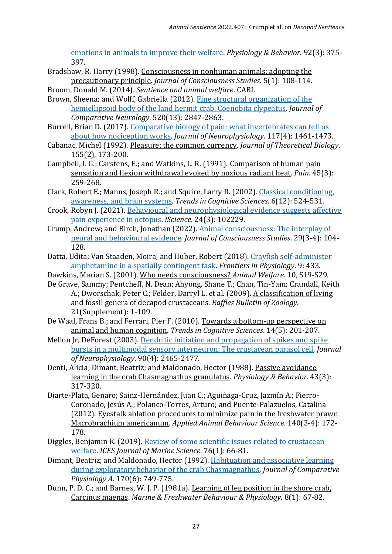[emotions in animals to improve their welfare.](https://www.sciencedirect.com/science/article/pii/S0031938407000649?casa_token=NV2SYYlAzV8AAAAA:IWTcEZ_5_f61ar194n-WFUS3M2J2QqXtMa5RO4pqgTye1w_ExMaTYb-nqBwwT2nyqyhKgXz_RRk) *Physiology & Behavior*. 92(3): 375- 397.

- Bradshaw, R. Harry (1998). Consciousness in nonhuman animals: adopting the precautionary principle. *Journal of Consciousness Studies*. 5(1): 108-114.
- Broom, Donald M. (2014). *Sentience and animal welfare*. CABI.
- Brown, Sheena; and Wolff, Gabriella (2012). [Fine structural organization of the](https://onlinelibrary.wiley.com/doi/full/10.1002/cne.23058?casa_token=3lLFfw6_XFoAAAAA%3Atp2AjV2ov4rFQ8OqJyt-2KWz-ssUoG0lkSB2L-D5ChGM46CSEKjZC_CLl9CXScsOY3jzRg-AYGpyECGG)  [hemiellipsoid body of the land hermit crab, Coenobita clypeatus.](https://onlinelibrary.wiley.com/doi/full/10.1002/cne.23058?casa_token=3lLFfw6_XFoAAAAA%3Atp2AjV2ov4rFQ8OqJyt-2KWz-ssUoG0lkSB2L-D5ChGM46CSEKjZC_CLl9CXScsOY3jzRg-AYGpyECGG) *Journal of Comparative Neurology*. 520(13): 2847-2863.
- Burrell, Brian D. (2017). [Comparative biology of pain: what invertebrates can tell us](https://journals.physiology.org/doi/full/10.1152/jn.00600.2016)  [about how nociception works.](https://journals.physiology.org/doi/full/10.1152/jn.00600.2016) *Journal of Neurophysiology*. 117(4): 1461-1473.
- Cabanac, Michel (1992). Pleasure: the common currency. *Journal of Theoretical Biology*. 155(2), 173-200.
- Campbell, I. G.; Carstens, E.; and Watkins, L. R. (1991). Comparison of human pain sensation and flexion withdrawal evoked by noxious radiant heat. *Pain*. 45(3): 259-268.
- Clark, Robert E.; Manns, Joseph R.; and Squire, Larry R. (2002). [Classical conditioning,](https://www.sciencedirect.com/science/article/pii/S1364661302020417?casa_token=91fdP7Lk6fcAAAAA:4s952N9_HFZJfZyE13sRjPMWbsCA2kiXAASvEP0D5MjJeORDJf0AjuoeUowpV2UzzA4WXBz1qaY)  [awareness, and brain systems.](https://www.sciencedirect.com/science/article/pii/S1364661302020417?casa_token=91fdP7Lk6fcAAAAA:4s952N9_HFZJfZyE13sRjPMWbsCA2kiXAASvEP0D5MjJeORDJf0AjuoeUowpV2UzzA4WXBz1qaY) *Trends in Cognitive Sciences*. 6(12): 524-531.
- Crook, Robyn J. (2021). Behavioural [and neurophysiological evidence suggests affective](https://www.sciencedirect.com/science/article/pii/S2589004221001978)  [pain experience in octopus.](https://www.sciencedirect.com/science/article/pii/S2589004221001978) *iScience*. 24(3): 102229.
- Crump, Andrew; and Birch, Jonathan (2022)[. Animal consciousness: The interplay of](https://www.ingentaconnect.com/content/imp/jcs/2022/00000029/f0020003/art00005)  [neural and behavioural evidence.](https://www.ingentaconnect.com/content/imp/jcs/2022/00000029/f0020003/art00005) *Journal of Consciousness Studies*. 29(3-4): 104- 128.
- Datta, Udita; Van Staaden, Moira; and Huber, Robert (2018). [Crayfish self-administer](https://www.frontiersin.org/articles/10.3389/fphys.2018.00433/full)  [amphetamine in a spatially contingent task.](https://www.frontiersin.org/articles/10.3389/fphys.2018.00433/full) *Frontiers in Physiology*. 9: 433.
- Dawkins, Marian S. (2001). Who needs consciousness? *Animal Welfare*. 10, S19-S29.
- De Grave, Sammy; Pentcheff, N. Dean; Ahyong, Shane T.; Chan, Tin-Yam; Crandall, Keith A.; Dworschak, Peter C.; Felder, Darryl L. et al. (2009). A classification of living and fossil genera of decapod crustaceans. *Raffles Bulletin of Zoology*. 21(Supplement): 1-109.
- De Waal, Frans B.; and Ferrari, Pier F. (2010). Towards a bottom-up perspective on animal and human cognition. *Trends in Cognitive Sciences*. 14(5): 201-207.
- Mellon Jr, DeForest (2003)[. Dendritic initiation and propagation of spikes and spike](https://journals.physiology.org/doi/full/10.1152/jn.00310.2003)  [bursts in a multimodal sensory interneuron: The crustacean parasol cell.](https://journals.physiology.org/doi/full/10.1152/jn.00310.2003) *Journal of Neurophysiology*. 90(4): 2465-2477.
- Denti, Alicia; Dimant, Beatriz; and Maldonado, Hector (1988). Passive avoidance learning in the crab Chasmagnathus granulatus. *Physiology & Behavior*. 43(3): 317-320.
- Diarte-Plata, Genaro; Sainz-Hernández, Juan C.; Aguiñaga-Cruz, Jazmín A.; Fierro-Coronado, Jesús A.; Polanco-Torres, Arturo; and Puente-Palazuelos, Catalina (2012). Eyestalk ablation procedures to minimize pain in the freshwater prawn Macrobrachium americanum. *Applied Animal Behaviour Science*. 140(3-4): 172- 178.
- Diggles, Benjamin K. (2019). [Review of some scientific issues related to crustacean](https://academic.oup.com/icesjms/article/76/1/66/5037899?login=false)  [welfare.](https://academic.oup.com/icesjms/article/76/1/66/5037899?login=false) *ICES Journal of Marine Science*. 76(1): 66-81.
- Dimant, Beatriz; and Maldonado, Hector (1992). [Habituation and associative learning](https://link.springer.com/article/10.1007/BF00198986)  [during exploratory behavior of the crab Chasmagnathus.](https://link.springer.com/article/10.1007/BF00198986) *Journal of Comparative Physiology A*. 170(6): 749-775.
- Dunn, P. D. C.; and Barnes, W. J. P. (1981a). Learning of leg position in the shore crab, Carcinus maenas. *Marine & Freshwater Behaviour & Physiology*. 8(1): 67-82.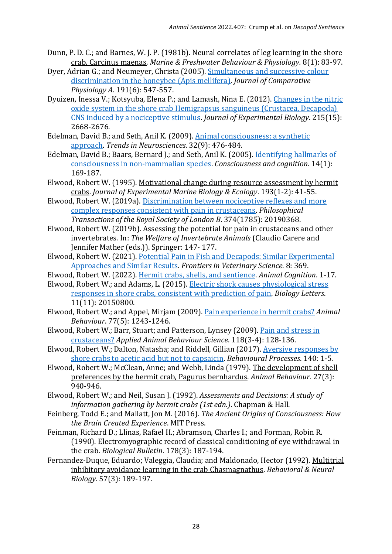- Dunn, P. D. C.; and Barnes, W. J. P. (1981b). Neural correlates of leg learning in the shore crab, Carcinus maenas. *Marine & Freshwater Behaviour & Physiology.* 8(1): 83-97.
- Dyer, Adrian G.; and Neumeyer, Christa (2005). [Simultaneous and successive colour](https://link.springer.com/article/10.1007/s00359-005-0622-z)  [discrimination in the honeybee \(Apis mellifera\).](https://link.springer.com/article/10.1007/s00359-005-0622-z) *Journal of Comparative Physiology A*. 191(6): 547-557.
- Dyuizen, Inessa V.; Kotsyuba, Elena P.; and Lamash, Nina E. (2012). [Changes in the nitric](https://journals.biologists.com/jeb/article/215/15/2668/10971/Changes-in-the-nitric-oxide-system-in-the-shore)  [oxide system in the shore crab Hemigrapsus sanguineus \(Crustacea, Decapoda\)](https://journals.biologists.com/jeb/article/215/15/2668/10971/Changes-in-the-nitric-oxide-system-in-the-shore)  [CNS induced by a nociceptive stimulus.](https://journals.biologists.com/jeb/article/215/15/2668/10971/Changes-in-the-nitric-oxide-system-in-the-shore) *Journal of Experimental Biology*. 215(15): 2668-2676.
- Edelman, David B.; and Seth, Anil K. (2009)[. Animal consciousness: a synthetic](https://www.sciencedirect.com/science/article/pii/S0166223609001295?casa_token=7S0OOsYXA9oAAAAA:3VLdGZyyrJ29cDYDGdOb5aKjcVHBq1LiXHfwAl-rIE6XN2zIBF5NKbLdw0FqYFNph4ag6IFLcF4)  [approach.](https://www.sciencedirect.com/science/article/pii/S0166223609001295?casa_token=7S0OOsYXA9oAAAAA:3VLdGZyyrJ29cDYDGdOb5aKjcVHBq1LiXHfwAl-rIE6XN2zIBF5NKbLdw0FqYFNph4ag6IFLcF4) *Trends in Neurosciences*. 32(9): 476-484.
- Edelman, David B.; Baars, Bernard J.; and Seth, Anil K. (2005). [Identifying hallmarks of](https://www.sciencedirect.com/science/article/pii/S1053810004000935?casa_token=6ngOLJWe8cUAAAAA:ofySIzQbJP284cMGQ2fDIP8kEeaXYTxCfzELhDCTbFnX6BSgAN5wSsFDM9oALNEjk4ofGu5R7xQ)  [consciousness in non-mammalian species.](https://www.sciencedirect.com/science/article/pii/S1053810004000935?casa_token=6ngOLJWe8cUAAAAA:ofySIzQbJP284cMGQ2fDIP8kEeaXYTxCfzELhDCTbFnX6BSgAN5wSsFDM9oALNEjk4ofGu5R7xQ) *Consciousness and cognition*. 14(1): 169-187.
- Elwood, Robert W. (1995). Motivational change during resource assessment by hermit crabs. *Journal of Experimental Marine Biology & Ecology*. 193(1-2): 41-55.
- Elwood, Robert W. (2019a)[. Discrimination between nociceptive reflexes and more](https://royalsocietypublishing.org/doi/full/10.1098/rstb.2019.0368)  [complex responses consistent with pain in crustaceans.](https://royalsocietypublishing.org/doi/full/10.1098/rstb.2019.0368) *Philosophical Transactions of the Royal Society of London B*. 374(1785): 20190368.
- Elwood, Robert W. (2019b). Assessing the potential for pain in crustaceans and other invertebrates. In: *The Welfare of Invertebrate Animals* (Claudio Carere and Jennifer Mather (eds.)). Springer: 147- 177.
- Elwood, Robert W. (2021). [Potential Pain in Fish and Decapods: Similar Experimental](https://www.frontiersin.org/articles/10.3389/fvets.2021.631151/full)  [Approaches and Similar Results.](https://www.frontiersin.org/articles/10.3389/fvets.2021.631151/full) *Frontiers in Veterinary Science*. 8: 369.
- Elwood, Robert W. (2022). [Hermit crabs, shells, and sentience.](https://link.springer.com/article/10.1007/s10071-022-01607-7#citeas) *Animal Cognition*. 1-17.
- Elwood, Robert W.; and Adams, L. (2015). [Electric shock causes physiological stress](https://royalsocietypublishing.org/doi/full/10.1098/rsbl.2015.0800)  [responses in shore crabs, consistent with prediction of pain.](https://royalsocietypublishing.org/doi/full/10.1098/rsbl.2015.0800) *Biology Letters*. 11(11): 20150800.
- Elwood, Robert W.; and Appel, Mirjam (2009). [Pain experience in hermit crabs?](https://www.sciencedirect.com/science/article/pii/S0003347209000712?casa_token=jdxd0IM7wMsAAAAA:foEkkJrb78NoZmMNtB1PAz1REBOOYBcpi5zj_s-BCgXukVaE5Kr6AyXSyN13J8hVAAXf0ETUPJU) *Animal Behaviour*. 77(5): 1243-1246.
- Elwood, Robert W.; Barr, Stuart; and Patterson, Lynsey (2009). [Pain and stress in](https://www.sciencedirect.com/science/article/pii/S0168159109000409?casa_token=cFUWPdQFpggAAAAA:6P8NJL4i781Sc6Xxm7831PwGVrIYS_NIlBXuydNg0NfXL9rgrCEHWhPwZw85stwLeitHShlpKK8)  [crustaceans?](https://www.sciencedirect.com/science/article/pii/S0168159109000409?casa_token=cFUWPdQFpggAAAAA:6P8NJL4i781Sc6Xxm7831PwGVrIYS_NIlBXuydNg0NfXL9rgrCEHWhPwZw85stwLeitHShlpKK8) *Applied Animal Behaviour Science*. 118(3-4): 128-136.
- Elwood, Robert W.; Dalton, Natasha; and Riddell, Gillian (2017). [Aversive responses by](https://www.sciencedirect.com/science/article/pii/S0376635716303977?casa_token=ZoJkjwuLMr4AAAAA:iZqCUde4dYt5SLkzrA1FkIPbYFAeBg4Hr9hDfbRyPj489YQoo7YKjL8a7wCmo6Qkrt3zkdVUjUA)  [shore crabs to acetic acid but not to capsaicin.](https://www.sciencedirect.com/science/article/pii/S0376635716303977?casa_token=ZoJkjwuLMr4AAAAA:iZqCUde4dYt5SLkzrA1FkIPbYFAeBg4Hr9hDfbRyPj489YQoo7YKjL8a7wCmo6Qkrt3zkdVUjUA) *Behavioural Processes*. 140: 1-5.
- Elwood, Robert W.; McClean, Anne; and Webb, Linda (1979). The development of shell preferences by the hermit crab, Pagurus bernhardus. *Animal Behaviour.* 27(3): 940-946.
- Elwood, Robert W.; and Neil, Susan J. (1992). *Assessments and Decisions: A study of information gathering by hermit crabs (1st edn.)*. Chapman & Hall.
- Feinberg, Todd E.; and Mallatt, Jon M. (2016). *The Ancient Origins of Consciousness: How the Brain Created Experience*. MIT Press.
- Feinman, Richard D.; Llinas, Rafael H.; Abramson, Charles I.; and Forman, Robin R. (1990). Electromyographic record of classical conditioning of eye withdrawal in the crab. *Biological Bulletin*. 178(3): 187-194.
- Fernandez-Duque, Eduardo; Valeggia, Claudia; and Maldonado, Hector (1992). Multitrial inhibitory avoidance learning in the crab Chasmagnathus. *Behavioral & Neural Biology*. 57(3): 189-197.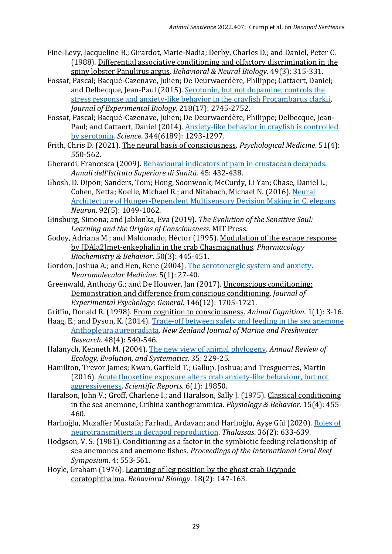- Fine-Levy, Jacqueline B.; Girardot, Marie-Nadia; Derby, Charles D.; and Daniel, Peter C. (1988). Differential associative conditioning and olfactory discrimination in the spiny lobster Panulirus argus. *Behavioral & Neural Biology*. 49(3): 315-331.
- Fossat, Pascal; Bacqué-Cazenave, Julien; De Deurwaerdère, Philippe; Cattaert, Daniel; and Delbecque, Jean-Paul (2015). [Serotonin, but not dopamine, controls the](https://journals.biologists.com/jeb/article/218/17/2745/14139/Serotonin-but-not-dopamine-controls-the-stress)  [stress response and anxiety-like behavior in the crayfish Procambarus clarkii.](https://journals.biologists.com/jeb/article/218/17/2745/14139/Serotonin-but-not-dopamine-controls-the-stress)  *Journal of Experimental Biology*. 218(17): 2745-2752.
- Fossat, Pascal; Bacqué-Cazenave, Julien; De Deurwaerdère, Philippe; Delbecque, Jean-Paul; and Cattaert, Daniel (2014). [Anxiety-like behavior in crayfish is controlled](https://www.science.org/doi/full/10.1126/science.1248811?casa_token=qAZL7F4yzRoAAAAA%3Acg4elXpZznSmdvFN2b08CaXKc1QVfua_3QYYwP5NYeO0H4QHOTsj0cj1h0CRuIBCG347FDzilBrgP08)  [by serotonin.](https://www.science.org/doi/full/10.1126/science.1248811?casa_token=qAZL7F4yzRoAAAAA%3Acg4elXpZznSmdvFN2b08CaXKc1QVfua_3QYYwP5NYeO0H4QHOTsj0cj1h0CRuIBCG347FDzilBrgP08) *Science*. 344(6189): 1293-1297.
- Frith, Chris D. (2021). The neural basis of consciousness. *Psychological Medicine*. 51(4): 550-562.
- Gherardi, Francesca (2009). [Behavioural indicators of pain in crustacean decapods.](https://www.scielosp.org/article/aiss/2009.v45n4/432-438/en/) *Annali dell'Istituto Superiore di Sanità*. 45: 432-438.
- Ghosh, D. Dipon; Sanders, Tom; Hong, Soonwook; McCurdy, Li Yan; Chase, Daniel L.; Cohen, Netta; Koelle, Michael R.; and Nitabach, Michael N. (2016). [Neural](https://www.sciencedirect.com/science/article/pii/S0896627316307802)  [Architecture of Hunger-Dependent Multisensory Decision Making in C. elegans.](https://www.sciencedirect.com/science/article/pii/S0896627316307802) *Neuron*. 92(5): 1049-1062.
- Ginsburg, Simona; and Jablonka, Eva (2019). *The Evolution of the Sensitive Soul: Learning and the Origins of Consciousness*. MIT Press.
- Godoy, Adriana M.; and Maldonado, Héctor (1995). Modulation of the escape response by [DAla2]met-enkephalin in the crab Chasmagnathus. *Pharmacology Biochemistry & Behavior*. 50(3): 445-451.
- Gordon, Joshua A.; and Hen, Rene (2004). [The serotonergic system and anxiety.](https://link.springer.com/article/10.1385/NMM:5:1:027) *Neuromolecular Medicine*. 5(1): 27-40.
- Greenwald, Anthony G.; and De Houwer, Jan (2017). Unconscious conditioning: Demonstration and difference from conscious conditioning. *Journal of Experimental Psychology: General*. 146(12): 1705-1721.

Griffin, Donald R. (1998). From cognition to consciousness. *Animal Cognition*. 1(1): 3-16.

- Haag, E.; and Dyson, K. (2014). [Trade-off between safety and feeding in the sea anemone](https://www.tandfonline.com/doi/full/10.1080/00288330.2014.915858?casa_token=Tq86f1DgYMIAAAAA%3AQj1M0nlovRDmhv1W0XiAEasGzx1fl91BMTB7z5A_9KkcmDyEN8e-DvX1fgnjOoPhZb-_51lC1_04VQ)  [Anthopleura aureoradiata.](https://www.tandfonline.com/doi/full/10.1080/00288330.2014.915858?casa_token=Tq86f1DgYMIAAAAA%3AQj1M0nlovRDmhv1W0XiAEasGzx1fl91BMTB7z5A_9KkcmDyEN8e-DvX1fgnjOoPhZb-_51lC1_04VQ) *New Zealand Journal of Marine and Freshwater Research*. 48(4): 540-546.
- Halanych, Kenneth M. (2004). [The new view of animal phylogeny.](https://www.annualreviews.org/doi/full/10.1146/annurev.ecolsys.35.112202.130124) *Annual Review of Ecology, Evolution, and Systematics*. 35: 229-25.
- Hamilton, Trevor James; Kwan, Garfield T.; Gallup, Joshua; and Tresguerres, Martin (2016). [Acute fluoxetine exposure alters crab anxiety-like behaviour, but not](https://www.nature.com/articles/srep19850)  [aggressiveness.](https://www.nature.com/articles/srep19850) *Scientific Reports.* 6(1): 19850.
- Haralson, John V.; Groff, Charlene I.; and Haralson, Sally J. (1975). Classical conditioning in the sea anemone, Cribina xanthogrammica. *Physiology & Behavior*. 15(4): 455- 460.
- Harlıoğlu, Muzaffer Mustafa; Farhadi, Ardavan; and Harlıoğlu, Ayşe Gül (2020). [Roles of](https://link.springer.com/article/10.1007/s41208-020-00202-2)  [neurotransmitters in decapod reproduction.](https://link.springer.com/article/10.1007/s41208-020-00202-2) *Thalassas*. 36(2): 633-639.
- Hodgson, V. S. (1981). Conditioning as a factor in the symbiotic feeding relationship of sea anemones and anemone fishes. *Proceedings of the International Coral Reef Symposium*. 4: 553-561.
- Hoyle, Graham (1976). Learning of leg position by the ghost crab Ocypode ceratophthalma. *Behavioral Biology*. 18(2): 147-163.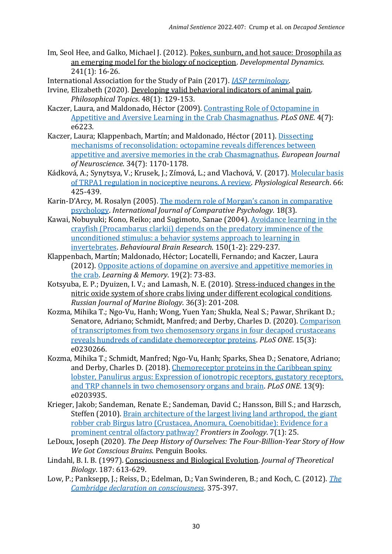Im, Seol Hee, and Galko, Michael J. (2012). Pokes, sunburn, and hot sauce: Drosophila as an emerging model for the biology of nociception. *Developmental Dynamics.* 241(1): 16-26.

International Association for the Study of Pain (2017). *[IASP terminology](https://www.iasppain.org/terminology?navItemNumber=576)*.

- Irvine, Elizabeth (2020). Developing valid behavioral indicators of animal pain. *Philosophical Topics*. 48(1): 129-153.
- Kaczer, Laura, and Maldonado, Héctor (2009). [Contrasting Role of Octopamine in](https://journals.plos.org/plosone/article?id=10.1371/journal.pone.0006223)  [Appetitive and Aversive Learning in the Crab Chasmagnathus.](https://journals.plos.org/plosone/article?id=10.1371/journal.pone.0006223) *PLoS ONE*. 4(7): e6223.
- Kaczer, Laura; Klappenbach, Martín; and Maldonado, Héctor (2011). [Dissecting](https://onlinelibrary.wiley.com/doi/full/10.1111/j.1460-9568.2011.07830.x?casa_token=v0LbBjfzJXsAAAAA%3A59GOShxcHUFnv_QCMGGm4wUf4jOoEqMf7TF2K1O2TJVFFHcTwxCwIZNjhhsPqQfUk3BTsqGsPP-qe_E8)  [mechanisms of reconsolidation: octopamine reveals differences between](https://onlinelibrary.wiley.com/doi/full/10.1111/j.1460-9568.2011.07830.x?casa_token=v0LbBjfzJXsAAAAA%3A59GOShxcHUFnv_QCMGGm4wUf4jOoEqMf7TF2K1O2TJVFFHcTwxCwIZNjhhsPqQfUk3BTsqGsPP-qe_E8)  [appetitive and aversive memories in the crab Chasmagnathus.](https://onlinelibrary.wiley.com/doi/full/10.1111/j.1460-9568.2011.07830.x?casa_token=v0LbBjfzJXsAAAAA%3A59GOShxcHUFnv_QCMGGm4wUf4jOoEqMf7TF2K1O2TJVFFHcTwxCwIZNjhhsPqQfUk3BTsqGsPP-qe_E8) *European Journal of Neuroscience*. 34(7): 1170-1178.
- Kádková, A.; Synytsya, V.; Krusek, J.; Zímová, L.; and Vlachová, V. (2017). Molecular basis [of TRPA1 regulation in nociceptive neurons. A review.](https://www.proquest.com/openview/c50a4fdc40f473f54618e5940b83d65d/1?pq-origsite=gscholar&cbl=29462) *Physiological Research*. 66: 425-439.
- Karin-D'Arcy, M. Rosalyn (2005). [The modern role of Morgan's canon](https://escholarship.org/uc/item/3vx8250v) in comparative [psychology.](https://escholarship.org/uc/item/3vx8250v) *International Journal of Comparative Psychology.* 18(3).
- Kawai, Nobuyuki; Kono, Reiko; and Sugimoto, Sanae (2004). [Avoidance learning in the](https://www.sciencedirect.com/science/article/pii/S0166432803002614?casa_token=rQbO7Ud948YAAAAA:oilKg5DLR-sDSnBelropU9_IBMzGstsDGsdO6UACQLraXgJqfPiVqQPmCF8911A39oXklRWEI_M)  [crayfish \(Procambarus clarkii\) depends on the predatory imminence of the](https://www.sciencedirect.com/science/article/pii/S0166432803002614?casa_token=rQbO7Ud948YAAAAA:oilKg5DLR-sDSnBelropU9_IBMzGstsDGsdO6UACQLraXgJqfPiVqQPmCF8911A39oXklRWEI_M)  [unconditioned stimulus: a behavior systems approach to learning in](https://www.sciencedirect.com/science/article/pii/S0166432803002614?casa_token=rQbO7Ud948YAAAAA:oilKg5DLR-sDSnBelropU9_IBMzGstsDGsdO6UACQLraXgJqfPiVqQPmCF8911A39oXklRWEI_M)  [invertebrates.](https://www.sciencedirect.com/science/article/pii/S0166432803002614?casa_token=rQbO7Ud948YAAAAA:oilKg5DLR-sDSnBelropU9_IBMzGstsDGsdO6UACQLraXgJqfPiVqQPmCF8911A39oXklRWEI_M) *Behavioural Brain Research*. 150(1-2): 229-237.
- Klappenbach, Martín; Maldonado, Héctor; Locatelli, Fernando; and Kaczer, Laura (2012). [Opposite actions of dopamine on aversive and appetitive memories in](http://learnmem.cshlp.org/content/19/2/73.short)  [the crab.](http://learnmem.cshlp.org/content/19/2/73.short) *Learning & Memory*. 19(2): 73-83.
- Kotsyuba, E. P.; Dyuizen, I. V.; and Lamash, N. E. (2010). Stress-induced changes in the nitric oxide system of shore crabs living under different ecological conditions. *Russian Journal of Marine Biology*. 36(3): 201-208.
- Kozma, Mihika T.; Ngo-Vu, Hanh; Wong, Yuen Yan; Shukla, Neal S.; Pawar, Shrikant D.; Senatore, Adriano; Schmidt, Manfred; and Derby, Charles D. (2020). [Comparison](https://journals.plos.org/plosone/article?id=10.1371/journal.pone.0230266)  [of transcriptomes from two chemosensory organs in four decapod crustaceans](https://journals.plos.org/plosone/article?id=10.1371/journal.pone.0230266)  [reveals hundreds of candidate chemoreceptor proteins.](https://journals.plos.org/plosone/article?id=10.1371/journal.pone.0230266) *PLoS ONE*. 15(3): e0230266.
- Kozma, Mihika T.; Schmidt, Manfred; Ngo-Vu, Hanh; Sparks, Shea D.; Senatore, Adriano; and Derby, Charles D. (2018). [Chemoreceptor proteins in the Caribbean spiny](https://journals.plos.org/plosone/article?id=10.1371/journal.pone.0203935)  [lobster, Panulirus argus: Expression of ionotropic receptors, gustatory receptors,](https://journals.plos.org/plosone/article?id=10.1371/journal.pone.0203935)  [and TRP channels in two chemosensory organs and brain.](https://journals.plos.org/plosone/article?id=10.1371/journal.pone.0203935) *PLoS ONE*. 13(9): e0203935.
- Krieger, Jakob; Sandeman, Renate E.; Sandeman, David C.; Hansson, Bill S.; and Harzsch, Steffen (2010). [Brain architecture of the largest living land arthropod, the giant](https://link.springer.com/article/10.1186/1742-9994-7-25)  [robber crab Birgus latro \(Crustacea, Anomura, Coenobitidae\): Evidence for a](https://link.springer.com/article/10.1186/1742-9994-7-25)  [prominent central olfactory pathway?](https://link.springer.com/article/10.1186/1742-9994-7-25) *Frontiers in Zoology*. 7(1): 25.
- LeDoux, Joseph (2020). *The Deep History of Ourselves: The Four-Billion-Year Story of How We Got Conscious Brains*. Penguin Books.
- Lindahl, B. I. B. (1997). Consciousness and Biological Evolution. *Journal of Theoretical Biology*. 187: 613-629.
- Low, P.; Panksepp, J.; Reiss, D.; Edelman, D.; Van Swinderen, B.; and Koch, C. (2012). *[The](http://fcmconference.org/img/CambridgeDeclarationOnConsciousness.pdf)  [Cambridge declaration on consciousness](http://fcmconference.org/img/CambridgeDeclarationOnConsciousness.pdf)*. 375-397.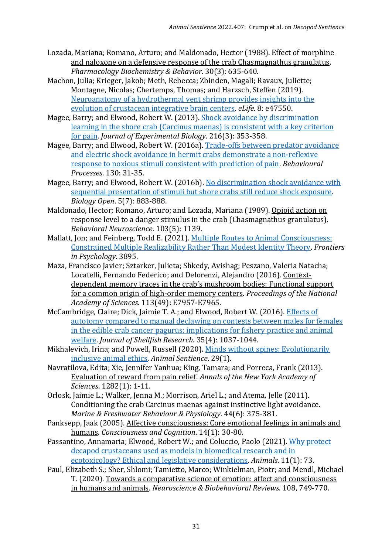- Lozada, Mariana; Romano, Arturo; and Maldonado, Hector (1988). Effect of morphine and naloxone on a defensive response of the crab Chasmagnathus granulatus. *Pharmacology Biochemistry & Behavior*. 30(3): 635-640.
- Machon, Julia; Krieger, Jakob; Meth, Rebecca; Zbinden, Magali; Ravaux, Juliette; Montagne, Nicolas; Chertemps, Thomas; and Harzsch, Steffen (2019). Neuroanatomy [of a hydrothermal vent shrimp provides insights into the](https://elifesciences.org/articles/47550)  [evolution of crustacean integrative brain centers.](https://elifesciences.org/articles/47550) *eLife*. 8: e47550.
- Magee, Barry; and Elwood, Robert W. (2013). [Shock avoidance by discrimination](https://journals.biologists.com/jeb/article/216/3/353/11942/Shock-avoidance-by-discrimination-learning-in-the)  [learning in the shore crab \(Carcinus maenas\) is consistent with a key criterion](https://journals.biologists.com/jeb/article/216/3/353/11942/Shock-avoidance-by-discrimination-learning-in-the)  [for pain.](https://journals.biologists.com/jeb/article/216/3/353/11942/Shock-avoidance-by-discrimination-learning-in-the) *Journal of Experimental Biology*. 216(3): 353-358.
- Magee, Barry; and Elwood, Robert W. (2016a). [Trade-offs between predator avoidance](https://www.sciencedirect.com/science/article/pii/S037663571630153X?casa_token=HDvJnHrBqo0AAAAA:H0h274MaAmqFEoPqmAXIcnH82pEYglI5O9hvB1Lw6PF2hRkYWVm2_oXFma_qN67n9hlZbNWYKt8)  [and electric shock avoidance in hermit crabs demonstrate a non-reflexive](https://www.sciencedirect.com/science/article/pii/S037663571630153X?casa_token=HDvJnHrBqo0AAAAA:H0h274MaAmqFEoPqmAXIcnH82pEYglI5O9hvB1Lw6PF2hRkYWVm2_oXFma_qN67n9hlZbNWYKt8)  [response to noxious stimuli consistent with prediction of pain.](https://www.sciencedirect.com/science/article/pii/S037663571630153X?casa_token=HDvJnHrBqo0AAAAA:H0h274MaAmqFEoPqmAXIcnH82pEYglI5O9hvB1Lw6PF2hRkYWVm2_oXFma_qN67n9hlZbNWYKt8) *Behavioural Processes*. 130: 31-35.
- Magee, Barry; and Elwood, Robert W. (2016b)[. No discrimination shock avoidance with](https://journals.biologists.com/bio/article/5/7/883/1698/No-discrimination-shock-avoidance-with-sequential)  [sequential presentation of stimuli but shore crabs still reduce shock exposure.](https://journals.biologists.com/bio/article/5/7/883/1698/No-discrimination-shock-avoidance-with-sequential)  *Biology Open*. 5(7): 883-888.
- Maldonado, Hector; Romano, Arturo; and Lozada, Mariana (1989). Opioid action on response level to a danger stimulus in the crab (Chasmagnathus granulatus). *Behavioral Neuroscience*. 103(5): 1139.
- Mallatt, Jon; and Feinberg, Todd E. (2021). [Multiple Routes to Animal Consciousness:](https://www.frontiersin.org/articles/10.3389/fpsyg.2021.732336/full?utm_source=S-TWT&utm_medium=SNET&utm_campaign=ECO_FPSYG_XXXXXXXX_auto-dlvrit&s=09)  [Constrained Multiple Realizability Rather Than Modest Identity Theory.](https://www.frontiersin.org/articles/10.3389/fpsyg.2021.732336/full?utm_source=S-TWT&utm_medium=SNET&utm_campaign=ECO_FPSYG_XXXXXXXX_auto-dlvrit&s=09) *Frontiers in Psychology*. 3895.
- Maza, Francisco Javier; Sztarker, Julieta; Shkedy, Avishag; Peszano, Valeria Natacha; Locatelli, Fernando Federico; and Delorenzi, Alejandro (2016). Contextdependent memory traces in the crab's mushroom bodies: Functional support for a common origin of high-order memory centers. *Proceedings of the National Academy of Sciences.* 113(49): E7957-E7965.
- McCambridge, Claire; Dick, Jaimie T. A.; and Elwood, Robert W. (2016). [Effects of](https://bioone.org/journals/journal-of-shellfish-research/volume-35/issue-4/035.035.0426/Effects-of-Autotomy-Compared-to-Manual-Declawing-on-Contests-between/10.2983/035.035.0426.full)  [autotomy compared to manual declawing on contests between males for females](https://bioone.org/journals/journal-of-shellfish-research/volume-35/issue-4/035.035.0426/Effects-of-Autotomy-Compared-to-Manual-Declawing-on-Contests-between/10.2983/035.035.0426.full)  [in the edible crab cancer pagurus: implications for fishery practice and animal](https://bioone.org/journals/journal-of-shellfish-research/volume-35/issue-4/035.035.0426/Effects-of-Autotomy-Compared-to-Manual-Declawing-on-Contests-between/10.2983/035.035.0426.full)  [welfare.](https://bioone.org/journals/journal-of-shellfish-research/volume-35/issue-4/035.035.0426/Effects-of-Autotomy-Compared-to-Manual-Declawing-on-Contests-between/10.2983/035.035.0426.full) *Journal of Shellfish Research*. 35(4): 1037-1044.
- Mikhalevich, Irina; and Powell, Russell (2020). [Minds without spines: Evolutionarily](https://www.wellbeingintlstudiesrepository.org/animsent/vol5/iss29/1/)  [inclusive animal ethics.](https://www.wellbeingintlstudiesrepository.org/animsent/vol5/iss29/1/) *Animal Sentience*. 29(1).
- Navratilova, Edita; Xie, Jennifer Yanhua; King, Tamara; and Porreca, Frank (2013). Evaluation of reward from pain relief. *Annals of the New York Academy of Sciences*. 1282(1): 1-11.
- Orlosk, Jaimie L.; Walker, Jenna M.; Morrison, Ariel L.; and Atema, Jelle (2011). Conditioning the crab Carcinus maenas against instinctive light avoidance. *Marine & Freshwater Behaviour & Physiology*. 44(6): 375-381.
- Panksepp, Jaak (2005). Affective consciousness: Core emotional feelings in animals and humans. *Consciousness and Cognition*. 14(1): 30-80.
- Passantino, Annamaria; Elwood, Robert W.; and Coluccio, Paolo (2021). [Why protect](https://www.mdpi.com/2076-2615/11/1/73)  [decapod crustaceans used as models in biomedical research and in](https://www.mdpi.com/2076-2615/11/1/73)  [ecotoxicology? Ethical and legislative considerations.](https://www.mdpi.com/2076-2615/11/1/73) *Animals*. 11(1): 73.
- Paul, Elizabeth S.; Sher, Shlomi; Tamietto, Marco; Winkielman, Piotr; and Mendl, Michael T. (2020). Towards a comparative science of emotion: affect and consciousness in humans and animals. *Neuroscience & Biobehavioral Reviews*. 108, 749-770.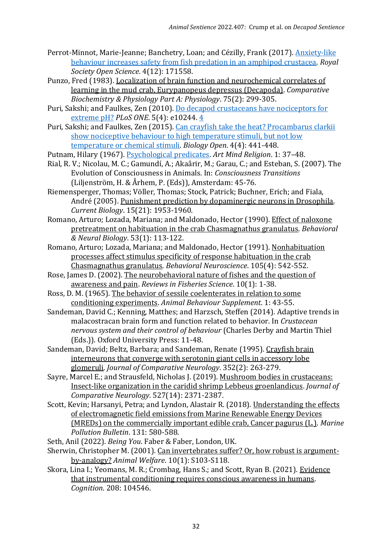- Perrot-Minnot, Marie-Jeanne; Banchetry, Loan; and Cézilly, Frank (2017). [Anxiety-like](https://royalsocietypublishing.org/doi/full/10.1098/rsos.171558)  [behaviour increases safety from fish predation in an amphipod crustacea.](https://royalsocietypublishing.org/doi/full/10.1098/rsos.171558) *Royal Society Open Science*. 4(12): 171558.
- Punzo, Fred (1983). Localization of brain function and neurochemical correlates of learning in the mud crab, Eurypanopeus depressus (Decapoda). *Comparative Biochemistry & Physiology Part A: Physiology*. 75(2): 299-305.
- Puri, Sakshi; and Faulkes, Zen (2010). [Do decapod crustaceans have nociceptors for](https://journals.plos.org/plosone/article?id=10.1371/journal.pone.001024)  [extreme pH?](https://journals.plos.org/plosone/article?id=10.1371/journal.pone.001024) *PLoS ONE*. 5(4): e10244. [4](https://journals.plos.org/plosone/article?id=10.1371/journal.pone.0010244)
- Puri, Sakshi; and Faulkes, Zen (2015). [Can crayfish take the heat? Procambarus clarkii](https://journals.biologists.com/bio/article/4/4/441/1413/Can-crayfish-take-the-heat-Procambarus-clarkii)  [show nociceptive behaviour to high temperature stimuli, but not low](https://journals.biologists.com/bio/article/4/4/441/1413/Can-crayfish-take-the-heat-Procambarus-clarkii)  [temperature or chemical stimuli.](https://journals.biologists.com/bio/article/4/4/441/1413/Can-crayfish-take-the-heat-Procambarus-clarkii) *Biology Open*. 4(4): 441-448.
- Putnam, Hilary (1967). [Psychological predicates.](https://www.phil.uu.nl/~joel/3027/3027PutnamPsychPredicates.pdf) *Art Mind Religion*. 1: 37–48.
- Rial, R. V.; Nicolau, M. C.; Gamundí, A.; Akaârir, M.; Garau, C.; and Esteban, S. (2007). The Evolution of Consciousness in Animals. In: *Consciousness Transitions* (Liljenström, H. & Århem, P. (Eds)), Amsterdam: 45-76.
- Riemensperger, Thomas; Völler, Thomas; Stock, Patrick; Buchner, Erich; and Fiala, André (2005). Punishment prediction by dopaminergic neurons in Drosophila. *Current Biology*. 15(21): 1953-1960.
- Romano, Arturo; Lozada, Mariana; and Maldonado, Hector (1990). Effect of naloxone pretreatment on habituation in the crab Chasmagnathus granulatus. *Behavioral & Neural Biology*. 53(1): 113-122.
- Romano, Arturo; Lozada, Mariana; and Maldonado, Hector (1991). Nonhabituation processes affect stimulus specificity of response habituation in the crab Chasmagnathus granulatus. *Behavioral Neuroscience*. 105(4): 542-552.
- Rose, James D. (2002). The neurobehavioral nature of fishes and the question of awareness and pain. *Reviews in Fisheries Science*. 10(1): 1-38.
- Ross, D. M. (1965). The behavior of sessile coelenterates in relation to some conditioning experiments. *Animal Behaviour Supplement*. 1: 43-55.
- Sandeman, David C.; Kenning, Matthes; and Harzsch, Steffen (2014). Adaptive trends in malacostracan brain form and function related to behavior. In *Crustacean nervous system and their control of behaviour* (Charles Derby and Martin Thiel (Eds.)). Oxford University Press: 11-48.
- Sandeman, David; Beltz, Barbara; and Sandeman, Renate (1995). Crayfish brain interneurons that converge with serotonin giant cells in accessory lobe glomeruli. *Journal of Comparative Neurology*. 352(2): 263-279.
- Sayre, Marcel E.; and Strausfeld, Nicholas J. (2019). Mushroom bodies in crustaceans: Insect-like organization in the caridid shrimp Lebbeus groenlandicus. *Journal of Comparative Neurology*. 527(14): 2371-2387.
- Scott, Kevin; Harsanyi, Petra; and Lyndon, Alastair R. (2018). Understanding the effects of electromagnetic field emissions from Marine Renewable Energy Devices (MREDs) on the commercially important edible crab, Cancer pagurus (L.). *Marine Pollution Bulletin*. 131: 580-588.
- Seth, Anil (2022). *Being You*. Faber & Faber, London, UK.
- Sherwin, Christopher M. (2001). Can invertebrates suffer? Or, how robust is argumentby-analogy? *Animal Welfare*. 10(1): S103-S118.
- Skora, Lina I.; Yeomans, M. R.; Crombag, Hans S.; and Scott, Ryan B. (2021). Evidence that instrumental conditioning requires conscious awareness in humans. *Cognition*. 208: 104546.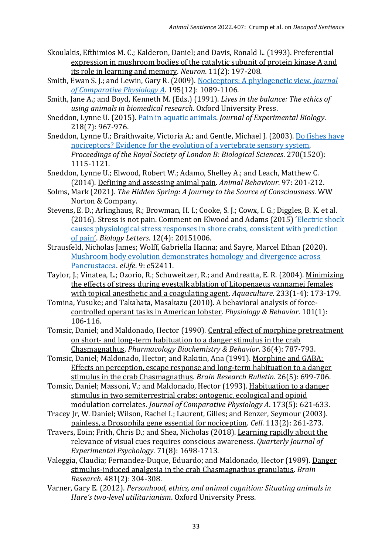- Skoulakis, Efthimios M. C.; Kalderon, Daniel; and Davis, Ronald L. (1993). Preferential expression in mushroom bodies of the catalytic subunit of protein kinase A and its role in learning and memory. *Neuron*. 11(2): 197-208.
- Smith, Ewan S. J.; and Lewin, Gary R. (2009). [Nociceptors: A phylogenetic view.](https://link.springer.com/article/10.1007/s00359-009-0482-z) *Journal [of Comparative Physiology A](https://link.springer.com/article/10.1007/s00359-009-0482-z)*. 195(12): 1089-1106.
- Smith, Jane A.; and Boyd, Kenneth M. (Eds.) (1991). *Lives in the balance: The ethics of using animals in biomedical research*. Oxford University Press.
- Sneddon, Lynne U. (2015). [Pain in aquatic animals.](https://journals.biologists.com/jeb/article/218/7/967/14518/Pain-in-aquatic-animals) *Journal of Experimental Biology*. 218(7): 967-976.
- Sneddon, Lynne U.; Braithwaite, Victoria A.; and Gentle, Michael J. (2003). [Do fishes have](https://royalsocietypublishing.org/doi/abs/10.1098/rspb.2003.2349)  [nociceptors? Evidence for the evolution of a vertebrate sensory system.](https://royalsocietypublishing.org/doi/abs/10.1098/rspb.2003.2349) *Proceedings of the Royal Society of London B: Biological Sciences*. 270(1520): 1115-1121.
- Sneddon, Lynne U.; Elwood, Robert W.; Adamo, Shelley A.; and Leach, Matthew C. (2014). Defining and assessing animal pain. *Animal Behaviour*. 97: 201-212.
- Solms, Mark (2021). *The Hidden Spring: A Journey to the Source of Consciousness*. WW Norton & Company.
- Stevens, E. D.; Arlinghaus, R.; Browman, H. I.; Cooke, S. J.; Cowx, I. G.; Diggles, B. K. et al. (2016). Stress is not pain. Comment on Elwood and Adams (2015) '[Electric shock](https://royalsocietypublishing.org/doi/full/10.1098/rsbl.2015.1006)  [causes physiological stress responses in shore crabs, consistent with prediction](https://royalsocietypublishing.org/doi/full/10.1098/rsbl.2015.1006)  [of pain](https://royalsocietypublishing.org/doi/full/10.1098/rsbl.2015.1006)'. *Biology Letters*. 12(4): 20151006.
- Strausfeld, Nicholas James; Wolff, Gabriella Hanna; and Sayre, Marcel Ethan (2020). [Mushroom body evolution demonstrates homology and divergence across](https://www.ncbi.nlm.nih.gov/pmc/articles/PMC7054004/)  [Pancrustacea.](https://www.ncbi.nlm.nih.gov/pmc/articles/PMC7054004/) *eLife*. 9: e52411.
- Taylor, J.; Vinatea, L.; Ozorio, R.; Schuweitzer, R.; and Andreatta, E. R. (2004). Minimizing the effects of stress during eyestalk ablation of Litopenaeus vannamei females with topical anesthetic and a coagulating agent. *Aquaculture*. 233(1-4): 173-179.
- Tomina, Yusuke; and Takahata, Masakazu (2010). A behavioral analysis of forcecontrolled operant tasks in American lobster. *Physiology & Behavior*. 101(1): 106-116.
- Tomsic, Daniel; and Maldonado, Hector (1990). Central effect of morphine pretreatment on short- and long-term habituation to a danger stimulus in the crab Chasmagnathus. *Pharmacology Biochemistry & Behavior*. 36(4): 787-793.
- Tomsic, Daniel; Maldonado, Hector; and Rakitin, Ana (1991). Morphine and GABA: Effects on perception, escape response and long-term habituation to a danger stimulus in the crab Chasmagnathus. *Brain Research Bulletin*. 26(5): 699-706.
- Tomsic, Daniel; Massoni, V.; and Maldonado, Hector (1993). Habituation to a danger stimulus in two semiterrestrial crabs: ontogenic, ecological and opioid modulation correlates. *Journal of Comparative Physiology A*. 173(5): 621-633.
- Tracey Jr, W. Daniel; Wilson, Rachel I.; Laurent, Gilles; and Benzer, Seymour (2003). painless, a Drosophila gene essential for nociception. *Cell*. 113(2): 261-273.
- Travers, Eoin; Frith, Chris D.; and Shea, Nicholas (2018). Learning rapidly about the relevance of visual cues requires conscious awareness. *Quarterly Journal of Experimental Psychology*. 71(8): 1698-1713.
- Valeggia, Claudia; Fernandez-Duque, Eduardo; and Maldonado, Hector (1989). Danger stimulus-induced analgesia in the crab Chasmagnathus granulatus. *Brain Research*. 481(2): 304-308.
- Varner, Gary E. (2012). *Personhood, ethics, and animal cognition: Situating animals in Hare's two-level utilitarianism*. Oxford University Press.